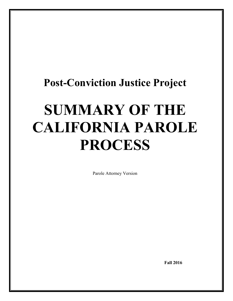## **Post-Conviction Justice Project**

# **SUMMARY OF THE CALIFORNIA PAROLE PROCESS**

Parole Attorney Version

 **Fall 2016**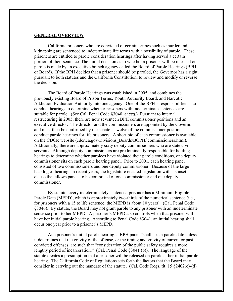#### **GENERAL OVERVIEW**

California prisoners who are convicted of certain crimes such as murder and kidnapping are sentenced to indeterminate life terms with a possibility of parole. These prisoners are entitled to parole consideration hearings after having served a certain portion of their sentence. The initial decision as to whether a prisoner will be released on parole is made by an executive branch agency called the Board of Parole Hearings (BPH or Board). If the BPH decides that a prisoner should be paroled, the Governor has a right, pursuant to both statutes and the California Constitution, to review and modify or reverse the decision.

The Board of Parole Hearings was established in 2005, and combines the previously existing Board of Prison Terms, Youth Authority Board, and Narcotic Addiction Evaluation Authority into one agency. One of the BPH's responsibilities is to conduct hearings to determine whether prisoners with indeterminate sentences are suitable for parole. (See Cal. Penal Code §3040*, et seq*.) Pursuant to internal restructuring in 2005, there are now seventeen BPH commissioner positions and an executive director. The director and the commissioners are appointed by the Governor and must then be confirmed by the senate. Twelve of the commissioner positions conduct parole hearings for life prisoners. A short bio of each commissioner is available on the CDCR website (cdcr.ca.gov/Divisions\_Boards/BOPH/ commissioners.html). Additionally, there are approximately sixty deputy commissioners who are state civil servants. Although deputy commissioners are predominantly responsible for holding hearings to determine whether parolees have violated their parole conditions, one deputy commissioner sits on each parole hearing panel. Prior to 2001, each hearing panel consisted of two commissioners and one deputy commissioner. Because of the large backlog of hearings in recent years, the legislature enacted legislation with a sunset clause that allows panels to be comprised of one commissioner and one deputy commissioner.

By statute, every indeterminately sentenced prisoner has a Minimum Eligible Parole Date (MEPD), which is approximately two-thirds of the numerical sentence (i.e., for prisoners with a 15 to life sentence, the MEPD is about 10 years). (Cal. Penal Code §3046). By statute, the Board may not grant parole to any prisoner with an indeterminate sentence prior to her MEPD. A prisoner's MEPD also controls when that prisoner will have her initial parole hearing. According to Penal Code §3041, an initial hearing shall occur one year prior to a prisoner's MEPD.

At a prisoner's initial parole hearing, a BPH panel "shall" set a parole date unless it determines that the gravity of the offense, or the timing and gravity of current or past convicted offenses, are such that "consideration of the public safety requires a more lengthy period of incarceration." (Cal. Penal Code §3041 (b)). The language of the statute creates a presumption that a prisoner will be released on parole at her initial parole hearing. The California Code of Regulations sets forth the factors that the Board may consider in carrying out the mandate of the statute. (Cal. Code Regs. tit. 15 §2402(c)-(d)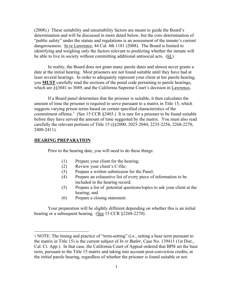(2008).) These suitability and unsuitability factors are meant to guide the Board's determination and will be discussed in more detail below, but the core determination of "public safety" under the statute and regulations is an assessment of the inmate's current dangerousness. In re Lawrence, 44 Cal. 4th 1181 (2008). The Board is limited to identifying and weighing only the factors relevant to predicting whether the inmate will be able to live in society without committing additional antisocial acts. (Id.)

In reality, the Board does not grant many parole dates and almost never grants a date at the initial hearing. Most prisoners are not found suitable until they have had at least several hearings. In order to adequately represent your client at her parole hearing, you **MUST** carefully read the sections of the penal code pertaining to parole hearings, which are §§3041 to 3049, and the California Supreme Court's decision in Lawrence**.**

If a Board panel determines that the prisoner is suitable, it then calculates the amount of time the prisoner is required to serve pursuant to a matrix in Title 15, which suggests varying prison terms based on certain specified characteristics of the commitment offense.<sup>1</sup> (See 15 CCR  $\S 2403$ .) It is rare for a prisoner to be found suitable before they have served the amount of time suggested by the matrix. You must also read carefully the relevant portions of Title 15 (§§2000, 2025-2044, 2235-2256, 2268-2270, 2400-2411).

#### **HEARING PREPARATION**

 $\overline{\phantom{a}}$ 

Prior to the hearing date, you will need to do these things:

- (1) Prepare your client for the hearing;
- (2) Review your client's C-file;
- (3) Prepare a written submission for the Panel;
- (4) Prepare an exhaustive list of every piece of information to be included in the hearing record;
- (5) Prepare a list of potential questions/topics to ask your client at the hearing; and
- (6) Prepare a closing statement.

Your preparation will be slightly different depending on whether this is an initial hearing or a subsequent hearing. (See 15 CCR §2268-2270).

<sup>1</sup> NOTE: The timing and practice of "term-setting" (*i.e.*, setting a base term pursuant to the matrix in Title 15) is the current subject of *In re Butler*, Case No. 139411 (1st Dist., Cal. Ct. App.). In that case, the California Court of Appeal ordered that BPH set the base term, pursuant to the Title 15 matrix and taking into account post-conviction credits, at the *initial* parole hearing, regardless of whether the prisoner is found suitable or not.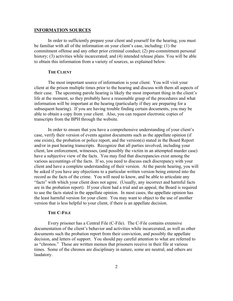#### **INFORMATION SOURCES**

In order to sufficiently prepare your client and yourself for the hearing, you must be familiar with all of the information on your client's case, including: (1) the commitment offense and any other prior criminal conduct; (2) pre-commitment personal history; (3) activities while incarcerated; and (4) intended release plans. You will be able to obtain this information from a variety of sources, as explained below.

#### **THE CLIENT**

The most important source of information is your client. You will visit your client at the prison multiple times prior to the hearing and discuss with them all aspects of their case. The upcoming parole hearing is likely the most important thing in the client's life at the moment, so they probably have a reasonable grasp of the procedures and what information will be important at the hearing (particularly if they are preparing for a subsequent hearing). If you are having trouble finding certain documents, you may be able to obtain a copy from your client. Also, you can request electronic copies of transcripts from the BPH through the website.

In order to ensure that you have a comprehensive understanding of your client's case, verify their version of events against documents such as the appellate opinion (if one exists), the probation or police report, and the version(s) stated in the Board Report and/or in past hearing transcripts. Recognize that all parties involved, including your client, law enforcement, witnesses, (and possibly the victim in an attempted murder case) have a subjective view of the facts. You may find that discrepancies exist among the various accountings of the facts. If so, you need to discuss each discrepancy with your client and have a complete understanding of their version. At the parole hearing, you will be asked if you have any objections to a particular written version being entered into the record as the facts of the crime. You will need to know, and be able to articulate any "facts" with which your client does not agree. (Usually, any incorrect and harmful facts are in the probation report). If your client had a trial and an appeal, the Board is required to use the facts stated in the appellate opinion. In most cases, the appellate opinion has the least harmful version for your client. You may want to object to the use of another version that is less helpful to your client, if there is an appellate decision.

#### **THE C-FILE**

Every prisoner has a Central File (C-File). The C-File contains extensive documentation of the client's behavior and activities while incarcerated, as well as other documents such the probation report from their conviction, and possibly the appellate decision, and letters of support. You should pay careful attention to what are referred to as "chronos." These are written memos that prisoners receive in their file at various times. Some of the chronos are disciplinary in nature, some are neutral, and others are laudatory.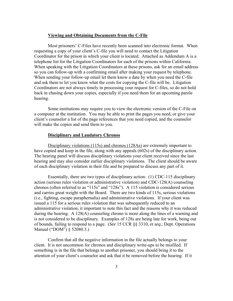#### **Viewing and Obtaining Documents from the C-File**

Most prisoners' C-Files have recently been scanned into electronic format. When requesting a copy of your client's C-file you will need to contact the Litigation Coordinator for the prison in which your client is located. Attached as Addendum A is a telephone list for the Litigation Coordinators for each of the prisons within California. When speaking with the Litigation Coordinators at these prisons, ask for an email address so you can follow-up with a confirming email after making your request by telephone. When sending your follow-up email let them know a date by when you need the C-file and ask them to let you know what the costs for copying the C-file will be. Litigation Coordinators are not always timely in processing your request for C-files, so do not hold back in chasing down your copies, especially if you need them for an upcoming parole hearing.

Some institutions may require you to view the electronic version of the C-File on a computer at the institution. You may be able to print the pages you need, or give your client's counselor a list of the page references that you need copied, and the counselor will make the copies and send them to you.

#### **Disciplinary and Laudatory Chronos**

Disciplinary violations (115s) and chronos (128As) are extremely important to have copied and keep in the file, along with any appeals (602s) of the disciplinary action. The hearing panel will discuss disciplinary violations your client received since the last hearing and may also consider earlier disciplinary violations. The client should be aware of each disciplinary violation in their file and be prepared to discuss any part of it.

Essentially, there are two types of disciplinary action: (1) CDC-115 disciplinary action (serious rules violation or administrative violation) and CDC-128(A) counseling chronos (often referred to as "115s" and "128s"). A 115 violation is considered serious and carries great weight with the Board. There are two kinds of 115s, serious violations (i.e., fighting, escape paraphernalia) and administrative violations. If your client was issued a 115 for a serious rules violation that was subsequently reduced to an administrative violation, it important to note this fact and the reasons why it was reduced during the hearing. A 128(A) counseling chrono is more along the lines of a warning and is not considered to be disciplinary. Examples of 128s are being late for work, being out of bounds, failing to respond to a page. (*See* 15 CCR §§ 3310, *et seq*.; Dept. Operations Manual ("DOM") § 52080.3.)

Confirm that all the negative information in the file actually belongs to your client. It is not uncommon for chronos and disciplinary write-ups to be misfiled. If something is in the file that belongs to another prisoner, you should bring it to the attention of your client's counselor and ask that it be removed before the hearing. If it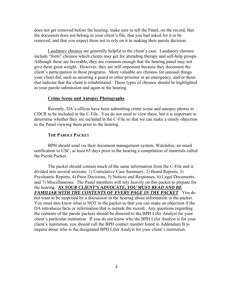does not get removed before the hearing, make sure to tell the Panel, on the record, that the document does not belong in your client's file, that you had asked for it to be removed, and that you expect them not to rely on it in making their parole decision.

Laudatory chronos are generally helpful to the client's case. Laudatory chronos include "form" chronos which clients may get for attending therapy and self-help groups. Although these are favorable, they are common enough that the hearing panel may not give them great weight. However, they are still important because they document the client's participation in these programs. More valuable are chronos for unusual things your client did, such as assisting a guard or other prisoner in an emergency, and/or those that indicate that the client is rehabilitated. These types of chronos should be highlighted in your parole submission and again at the hearing.

#### **Crime Scene and Autopsy Photographs**

Recently, DA's offices have been submitting crime scene and autopsy photos to CDCR to be included in the C-File. You do not need to view these, but it is important to determine whether they are included in the C-File so that we can make a timely objection to the Panel viewing them prior to the hearing.

#### **THE PAROLE PACKET**

BPH should send via their document management system, Watchdox, an email notification to USC, at least 65 days prior to the hearing a compilation of materials called the Parole Packet.

The packet should contain much of the same information from the C-File and is divided into several sections: 1) Cumulative Case Summary, 2) Board Reports, 3) Psychiatric Reports, 4) Prior Decisions, 5) Notices and Responses, 6) Legal Documents, and 7) Miscellaneous. The Panel members will rely heavily on this packet to prepare for the hearing. *AS YOUR CLIENT'S ADVOCATE, YOU MUST READ AND BE FAMILIAR WITH THE CONTENTS OF EVERY PAGE IN THE PACKET*. You do not want to be surprised by a discussion in the hearing about information in the packet. You must also know what is NOT in the packet so that you can make an objection if the DA introduces facts or information that is outside the record. Any questions regarding the contents of the parole packets should be directed to the BPH Lifer Analyst for your client's particular institution. If you do not know who the BPH Lifer Analyst is for your client's institution, you should call the BPH contact number listed in Addendum B to inquire about who is the designated BPH Lifer Analyst for your client's institution.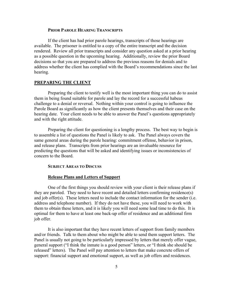#### **PRIOR PAROLE HEARING TRANSCRIPTS**

If the client has had prior parole hearings, transcripts of those hearings are available. The prisoner is entitled to a copy of the entire transcript and the decision rendered. Review all prior transcripts and consider any question asked at a prior hearing as a possible question in the upcoming hearing. Additionally, review the prior Board decisions so that you are prepared to address the previous reasons for denials and to address whether the client has complied with the Board's recommendations since the last hearing.

#### **PREPARING THE CLIENT**

Preparing the client to testify well is the most important thing you can do to assist them in being found suitable for parole and lay the record for a successful habeas challenge to a denial or reversal. Nothing within your control is going to influence the Parole Board as significantly as how the client presents themselves and their case on the hearing date. Your client needs to be able to answer the Panel's questions appropriately and with the right attitude.

Preparing the client for questioning is a lengthy process. The best way to begin is to assemble a list of questions the Panel is likely to ask. The Panel always covers the same general areas during the parole hearing: commitment offense, behavior in prison, and release plans. Transcripts from prior hearings are an invaluable resource for predicting the questions that will be asked and identifying issues or inconsistencies of concern to the Board.

#### **SUBJECT AREAS TO DISCUSS**

#### **Release Plans and Letters of Support**

One of the first things you should review with your client is their release plans if they are paroled. They need to have recent and detailed letters confirming residence(s) and job offer(s). These letters need to include the contact information for the sender (i.e. address and telephone number). If they do not have these, you will need to work with them to obtain these letters, and it is likely you will need some lead time to do this. It is optimal for them to have at least one back-up offer of residence and an additional firm job offer.

It is also important that they have recent letters of support from family members and/or friends. Talk to them about who might be able to send them support letters. The Panel is usually not going to be particularly impressed by letters that merely offer vague, general support ("I think the inmate is a good person" letters, or "I think she should be released" letters). The Panel *will* pay attention to letters that make concrete offers of support: financial support and emotional support, as well as job offers and residences.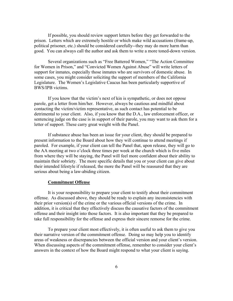If possible, you should review support letters before they get forwarded to the prison. Letters which are extremely hostile or which make wild accusations (frame-up, political prisoner, etc.) should be considered carefully--they may do more harm than good. You can always call the author and ask them to write a more toned-down version.

Several organizations such as "Free Battered Women," "The Action Committee for Women in Prison," and "Convicted Women Against Abuse" will write letters of support for inmates, especially those inmates who are survivors of domestic abuse. In some cases, you might consider soliciting the support of members of the California Legislature. The Women's Legislative Caucus has been particularly supportive of BWS/IPB victims.

If you know that the victim's next of kin is sympathetic, or does not oppose parole, get a letter from him/her. However, always be cautious and mindful about contacting the victim/victim representative, as such contact has potential to be detrimental to your client. Also, if you know that the D.A., law enforcement officer, or sentencing judge on the case is in support of their parole, you may want to ask them for a letter of support. These carry great weight with the Panel.

If substance abuse has been an issue for your client, they should be prepared to present information to the Board about how they will continue to attend meetings if paroled. For example, if your client can tell the Panel that, upon release, they will go to the AA meeting at two o'clock three times per week at the church which is five miles from where they will be staying, the Panel will feel more confident about their ability to maintain their sobriety. The more specific details that you or your client can give about their intended lifestyle if released, the more the Panel will be reassured that they are serious about being a law-abiding citizen.

#### **Commitment Offense**

It is your responsibility to prepare your client to testify about their commitment offense. As discussed above, they should be ready to explain any inconsistencies with their prior version(s) of the crime or the various official versions of the crime. In addition, it is critical that they effectively discuss the causative factors of the commitment offense and their insight into those factors. It is also important that they be prepared to take full responsibility for the offense and express their sincere remorse for the crime.

To prepare your client most effectively, it is often useful to ask them to give you their narrative version of the commitment offense. Doing so may help you to identify areas of weakness or discrepancies between the official version and your client's version. When discussing aspects of the commitment offense, remember to consider your client's answers in the context of how the Board might respond to what your client is saying.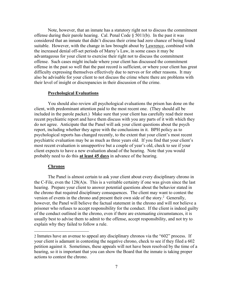Note, however, that an inmate has a statutory right not to discuss the commitment offense during their parole hearing. Cal. Penal Code  $\S$  5011(b). In the past it was considered that an inmate that didn't discuss their crime had zero chance of being found suitable. However, with the change in law brought about by Lawrence, combined with the increased denial off-set periods of Marsy's Law, in some cases it may be advantageous for your client to exercise their right not to discuss the commitment offense. Such cases might include where your client has discussed the commitment offense in the past so well that the past record is sufficient, or where your client has great difficulty expressing themselves effectively due to nerves or for other reasons. It may also be advisable for your client to not discuss the crime where there are problems with their level of insight or discrepancies in their discussion of the crime.

#### **Psychological Evaluations**

You should also review all psychological evaluations the prison has done on the client, with predominant attention paid to the most recent one. (They should all be included in the parole packet.) Make sure that your client has carefully read their most recent psychiatric report and have them discuss with you any parts of it with which they do not agree. Anticipate that the Panel will ask your client questions about the psych report, including whether they agree with the conclusions in it. BPH policy as to psychological reports has changed recently, to the extent that your client's most recent psychiatric evaluation may be as much as three years old. If you find that your client's most recent evaluation is unsupportive but a couple of year's old, check to see if your client expects to have a new evaluation ahead of the hearing. Note that you would probably need to do this **at least 45 days** in advance of the hearing.

#### **Chronos**

 $\overline{\phantom{a}}$ 

The Panel is almost certain to ask your client about every disciplinary chrono in the C-File, even the 128(A)s. This is a veritable certainty if one was given since the last hearing. Prepare your client to answer potential questions about the behavior stated in the chrono that required disciplinary consequences. The client may want to contest the version of events in the chrono and present their own side of the story.<sup>2</sup> Generally, however, the Panel will believe the factual statement in the chrono and will *not* believe a prisoner who refuses to accept responsibility for the conduct. If the client is indeed guilty of the conduct outlined in the chrono, even if there are extenuating circumstances, it is usually best to advise them to admit to the offense, accept responsibility, and not try to explain why they failed to follow a rule.

<sup>2</sup> Inmates have an avenue to appeal any disciplinary chronos via the "602" process. If your client is adamant in contesting the negative chrono, check to see if they filed a 602 petition against it. Sometimes, these appeals will not have been resolved by the time of a hearing, so it is important that you can show the Board that the inmate is taking proper actions to contest the chrono.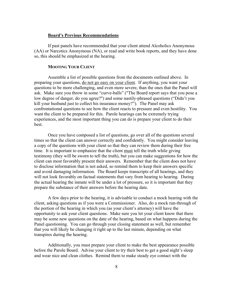#### **Board's Previous Recommendations**

If past panels have recommended that your client attend Alcoholics Anonymous (AA) or Narcotics Anonymous (NA), or read and write book reports, and they have done so, this should be emphasized at the hearing.

#### **MOOTING YOUR CLIENT**

Assemble a list of possible questions from the documents outlined above. In preparing your questions, do not go easy on your client. If anything, you want your questions to be more challenging, and even more severe, than the ones that the Panel will ask. Make sure you throw in some "curve-balls" ("The Board report says that you pose a low degree of danger, do you agree?") and some nastily-phrased questions ("Didn't you kill your husband just to collect his insurance money?"). The Panel may ask confrontational questions to see how the client reacts to pressure and even hostility. You want the client to be prepared for this. Parole hearings can be extremely trying experiences, and the most important thing you can do is prepare your client to do their best.

Once you have composed a list of questions, go over all of the questions several times so that the client can answer correctly and confidently. You might consider leaving a copy of the questions with your client so that they can review them during their free time. It is important to emphasize that the client must tell the truth while giving testimony (they will be sworn to tell the truth), but you can make suggestions for how the client can most favorably present their answers. Remember that the client does not have to disclose information that is not asked, so remind them to keep their answers specific and avoid damaging information. The Board keeps transcripts of all hearings, and they will not look favorably on factual statements that vary from hearing to hearing. During the actual hearing the inmate will be under a lot of pressure, so it is important that they prepare the substance of their answers before the hearing date.

A few days prior to the hearing, it is advisable to conduct a mock hearing with the client, asking questions as if you were a Commissioner. Also, do a mock run-through of the portion of the hearing in which you (as your client's attorney) will have the opportunity to ask your client questions. Make sure you let your client know that there may be some new questions on the date of the hearing, based on what happens during the Panel questioning. You can go through your closing statement as well, but remember that you will likely be changing it right up to the last minute, depending on what transpires during the hearing.

Additionally, you must prepare your client to make the best appearance possible before the Parole Board. Advise your client to try their best to get a good night's sleep and wear nice and clean clothes. Remind them to make steady eye contact with the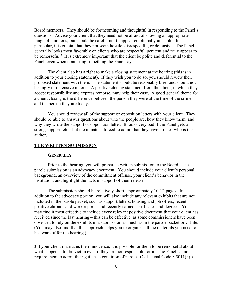Board members. They should be forthcoming and thoughtful in responding to the Panel's questions. Advise your client that they need not be afraid of showing an appropriate range of emotions, but should be careful not to appear emotionally unstable. In particular, it is crucial that they not seem hostile, disrespectful, or defensive. The Panel generally looks most favorably on clients who are respectful, penitent and truly appear to be remorseful.<sup>3</sup> It is extremely important that the client be polite and deferential to the Panel, even when contesting something the Panel says.

The client also has a right to make a closing statement at the hearing (this is in addition to your closing statement). If they wish you to do so, you should review their proposed statement with them. The statement should be reasonably brief and should not be angry or defensive in tone. A positive closing statement from the client, in which they accept responsibility and express remorse, may help their case. A good general theme for a client closing is the difference between the person they were at the time of the crime and the person they are today.

You should review all of the support or opposition letters with your client. They should be able to answer questions about who the people are, how they know them, and why they wrote the support or opposition letter. It looks very bad if the Panel gets a strong support letter but the inmate is forced to admit that they have no idea who is the author.

#### **THE WRITTEN SUBMISSION**

#### **GENERALLY**

 $\overline{\phantom{a}}$ 

Prior to the hearing, you will prepare a written submission to the Board. The parole submission is an advocacy document. You should include your client's personal background, an overview of the commitment offense, your client's behavior in the institution, and highlight the facts in support of their release.

The submission should be relatively short, approximately 10-12 pages. In addition to the advocacy portion, you will also include any relevant exhibits that are not included in the parole packet, such as support letters, housing and job offers, recent positive chronos and work reports, and recently earned certificates and degrees. You may find it most effective to include every relevant positive document that your client has received since the last hearing – this can be effective, as some commissioners have been observed to rely on the exhibits in a submission as much as in the parole packet or C-File. (You may also find that this approach helps you to organize all the materials you need to be aware of for the hearing.)

<sup>3</sup> If your client maintains their innocence, it is possible for them to be remorseful about what happened to the victim even if they are not responsible for it. The Panel cannot require them to admit their guilt as a condition of parole. (Cal. Penal Code  $\S 5011(b)$ .)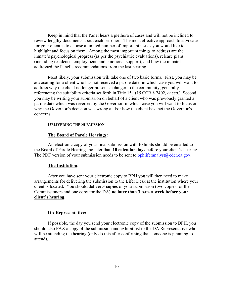Keep in mind that the Panel hears a plethora of cases and will not be inclined to review lengthy documents about each prisoner. The most effective approach to advocate for your client is to choose a limited number of important issues you would like to highlight and focus on them. Among the most important things to address are the inmate's psychological progress (as per the psychiatric evaluations), release plans (including residence, employment, and emotional support), and how the inmate has addressed the Panel's recommendations from the last hearing.

Most likely, your submission will take one of two basic forms. First, you may be advocating for a client who has not received a parole date, in which case you will want to address why the client no longer presents a danger to the community, generally referencing the suitability criteria set forth in Title 15. (15 CCR § 2402*, et seq*.) Second, you may be writing your submission on behalf of a client who was previously granted a parole date which was reversed by the Governor, in which case you will want to focus on why the Governor's decision was wrong and/or how the client has met the Governor's concerns.

#### **DELIVERING THE SUBMISSION**

#### **The Board of Parole Hearings:**

An electronic copy of your final submission with Exhibits should be emailed to the Board of Parole Hearings no later than **10 calendar days** before your client's hearing. The PDF version of your submission needs to be sent to bphliferanalyst $@cdcr.ca.gov$ .

#### **The Institution:**

After you have sent your electronic copy to BPH you will then need to make arrangements for delivering the submission to the Lifer Desk at the institution where your client is located. You should deliver **3 copies** of your submission (two copies for the Commissioners and one copy for the DA) **no later than 3 p.m. a week before your client's hearing.**

#### **DA Representative:**

If possible, the day you send your electronic copy of the submission to BPH, you should also FAX a copy of the submission and exhibit list to the DA Representative who will be attending the hearing (only do this after confirming that someone is planning to attend).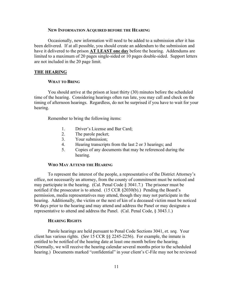#### **NEW INFORMATION ACQUIRED BEFORE THE HEARING**

Occasionally, new information will need to be added to a submission after it has been delivered. If at all possible, you should create an addendum to the submission and have it delivered to the prison **AT LEAST one day** before the hearing. Addendums are limited to a maximum of 20 pages single-sided or 10 pages double-sided. Support letters are not included in the 20 page limit.

#### **THE HEARING**

#### **WHAT TO BRING**

You should arrive at the prison at least thirty (30) minutes before the scheduled time of the hearing. Considering hearings often run late, you may call and check on the timing of afternoon hearings. Regardless, do not be surprised if you have to wait for your hearing.

Remember to bring the following items:

- 1. Driver's License and Bar Card;
- 2. The parole packet;
- 3. Your submission;
- 4. Hearing transcripts from the last 2 or 3 hearings; and
- 5. Copies of any documents that may be referenced during the hearing.

#### **WHO MAY ATTEND THE HEARING**

To represent the interest of the people, a representative of the District Attorney's office, not necessarily an attorney, from the county of commitment must be noticed and may participate in the hearing. (Cal. Penal Code  $\S$  3041.7.) The prisoner must be notified if the prosecutor is to attend. (15 CCR §2030(b).) Pending the Board's permission, media representatives may attend, though they may not participate in the hearing. Additionally, the victim or the next of kin of a deceased victim must be noticed 90 days prior to the hearing and may attend and address the Panel or may designate a representative to attend and address the Panel. (Cal. Penal Code, § 3043.1.)

#### **HEARING RIGHTS**

Parole hearings are held pursuant to Penal Code Sections 3041*, et. seq.* Your client has various rights. (*See* 15 CCR §§ 2245-2256). For example, the inmate is entitled to be notified of the hearing date at least one month before the hearing. (Normally, we will receive the hearing calendar several months prior to the scheduled hearing.) Documents marked "confidential" in your client's C-File may not be reviewed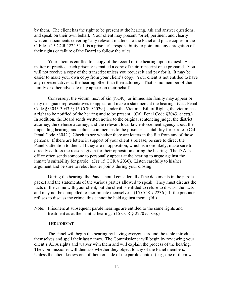by them. The client has the right to be present at the hearing, ask and answer questions, and speak on their own behalf*.* Your client may present "brief, pertinent and clearly written" documents covering "any relevant matters" to the Panel and place copies in the C-File. (15 CCR ' 2249.) It is a prisoner's responsibility to point out any abrogation of their rights or failure of the Board to follow the rules.

Your client is entitled to a copy of the record of the hearing upon request. As a matter of practice, each prisoner is mailed a copy of their transcript once prepared. You will not receive a copy of the transcript unless you request it and pay for it. It may be easier to make your own copy from your client's copy. Your client is not entitled to have any representatives at the hearing other than their attorney. That is, no member of their family or other advocate may appear on their behalf.

Conversely, the victim, next of kin (NOK), or immediate family may appear or may designate representatives to appear and make a statement at the hearing. (Cal. Penal Code §§3043-3043.3; 15 CCR §2029.) Under the Victim's Bill of Rights, the victim has a right to be notified of the hearing and to be present. (Cal. Penal Code §3043, *et seq*.) In addition, the Board sends written notice to the original sentencing judge, the district attorney, the defense attorney, and the relevant local law enforcement agency about the impending hearing, and solicits comment as to the prisoner's suitability for parole. (Cal. Penal Code §3042.) Check to see whether there are letters in the file from any of those persons. If there are letters in support of your client's release, be sure to direct the Panel's attention to them. If they are in opposition, which is more likely, make sure to directly address the reasons given for their opposition during the hearing. The D.A.'s office often sends someone to personally appear at the hearing to argue against the inmate's suitability for parole. (*See* 15 CCR § 2030). Listen carefully to his/her argument and be sure to rebut his/her points during your closing.

During the hearing, the Panel should consider all of the documents in the parole packet and the statements of the various parties allowed to speak. They must discuss the facts of the crime with your client, but the client is entitled to refuse to discuss the facts and may not be compelled to incriminate themselves. (15 CCR  $\S$  2236.) If the prisoner refuses to discuss the crime, this cannot be held against them. (Id.)

Note: Prisoners at subsequent parole hearings are entitled to the same rights and treatment as at their initial hearing. (15 CCR § 2270 *et. seq.*)

#### **THE FORMAT**

The Panel will begin the hearing by having everyone around the table introduce themselves and spell their last names. The Commissioner will begin by reviewing your client's ADA rights and waiver with them and will explain the process of the hearing. The Commissioner will then ask whether they object to any of the Panel members. Unless the client knows one of them outside of the parole context (e.g., one of them was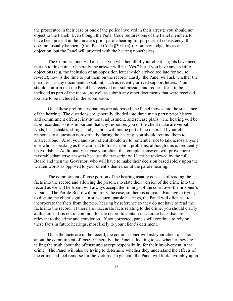the prosecutor in their case or one of the police involved in their arrest), you should not object to the Panel. Even though the Penal Code requires one of the Panel members to have been present at the inmate's prior parole hearing for purposes of consistency, this does not usually happen. (Cal. Penal Code §3041(a).) You may lodge this as an objection, but the Panel will proceed with the hearing nonetheless.

The Commissioner will also ask you whether all of your client's rights have been met up to this point. Generally the answer will be "Yes," but if you have any specific objections (e.g. the inclusion of an opposition letter which arrived too late for you to review), now is the time to put them on the record. Lastly, the Panel will ask whether the prisoner has any documents to submit, such as recently arrived support letters. You should confirm that the Panel has received our submission and request for it to be included as part of the record, as well as submit any other documents that were received too late to be included in the submission.

Once these preliminary matters are addressed, the Panel moves into the substance of the hearing. The questions are generally divided into three main parts: prior history and commitment offense, institutional adjustment, and release plans. The hearing will be tape-recorded, so it is important that any responses you or the client make are verbal. Nods, head shakes, shrugs, and gestures will not be part of the record. If your client responds to a question non-verbally during the hearing, you should remind them to answer aloud. Also, you and your client should try to remember not to talk across anyone else who is speaking as this can lead to transcription problems, although this is frequently unavoidable. Additionally, advise your client that complete answers will prove more favorable than terse answers because the transcript will later be reviewed by the full Board and then the Governor, who will have to make their decision based solely upon the written words as opposed to your client's demeanor at the parole hearing.

The commitment offense portion of the hearing usually consists of reading the facts into the record and allowing the prisoner to state their version of the crime into the record as well. The Board will always accept the findings of the court over the prisoner's version. The Parole Board will not retry the case, so there is no real advantage in trying to dispute the client's guilt. In subsequent parole hearings, the Panel will often ask to incorporate the facts from the prior hearing by reference so they do not have to read the facts into the record. If there are inaccurate facts relating to the crime, you should clarify at this time. It is not uncommon for the record to contain inaccurate facts that are relevant to the crime and conviction. If not corrected, panels will continue to rely on these facts in future hearings, most likely to your client's detriment.

Once the facts are in the record, the commissioner will ask your client questions about the commitment offense. Generally, the Panel is looking to see whether they are telling the truth about the offense and accept responsibility for their involvement in the crime. The Panel will also be trying to determine whether they understand the effects of the crime and feel remorse for the victims. In general, the Panel will look favorably upon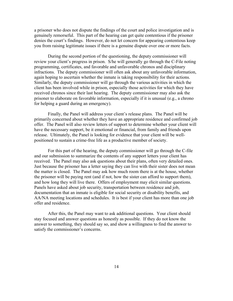a prisoner who does not dispute the findings of the court and police investigation and is genuinely remorseful. This part of the hearing can get quite contentious if the prisoner denies the court's findings. However, do not let concern for appearing contentious keep you from raising legitimate issues if there is a genuine dispute over one or more facts.

During the second portion of the questioning, the deputy commissioner will review your client's progress in prison. S/he will generally go through the C-File noting programming, certificates, and favorable and unfavorable chronos and disciplinary infractions. The deputy commissioner will often ask about any unfavorable information, again hoping to ascertain whether the inmate is taking responsibility for their actions. Similarly, the deputy commissioner will go through the various activities in which the client has been involved while in prison, especially those activities for which they have received chronos since their last hearing. The deputy commissioner may also ask the prisoner to elaborate on favorable information, especially if it is unusual (e.g., a chrono for helping a guard during an emergency).

Finally, the Panel will address your client's release plans. The Panel will be primarily concerned about whether they have an appropriate residence and confirmed job offer. The Panel will also review letters of support to determine whether your client will have the necessary support, be it emotional or financial, from family and friends upon release. Ultimately, the Panel is looking for evidence that your client will be wellpositioned to sustain a crime-free life as a productive member of society.

For this part of the hearing, the deputy commissioner will go through the C-file and our submission to summarize the contents of any support letters your client has received. The Panel may also ask questions about their plans, often very detailed ones. Just because the prisoner has a letter saying they can live with their sister does not mean the matter is closed. The Panel may ask how much room there is at the house, whether the prisoner will be paying rent (and if not, how the sister can afford to support them), and how long they will live there. Offers of employment may elicit similar questions. Panels have asked about job security, transportation between residence and job, documentation that an inmate is eligible for social security or disability benefits, and AA/NA meeting locations and schedules. It is best if your client has more than one job offer and residence.

After this, the Panel may want to ask additional questions. Your client should stay focused and answer questions as honestly as possible. If they do not know the answer to something, they should say so, and show a willingness to find the answer to satisfy the commissioner's concerns.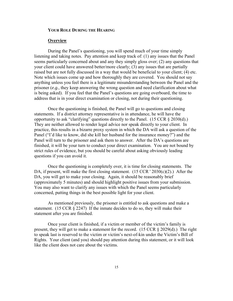#### **YOUR ROLE DURING THE HEARING**

#### **Overview**

During the Panel's questioning, you will spend much of your time simply listening and taking notes. Pay attention and keep track of: (1) any issues that the Panel seems particularly concerned about and any they simply gloss over; (2) any questions that your client could have answered better/more clearly; (3) any issues that are partially raised but are not fully discussed in a way that would be beneficial to your client; (4) etc. Note which issues come up and how thoroughly they are covered. You should not say anything unless you feel there is a legitimate misunderstanding between the Panel and the prisoner (*e.g.*, they keep answering the wrong question and need clarification about what is being asked). If you feel that the Panel's questions are going overboard, the time to address that is in your direct examination or closing, not during their questioning.

Once the questioning is finished, the Panel will go to questions and closing statements. If a district attorney representative is in attendance, he will have the opportunity to ask "clarifying" questions directly to the Panel. (15 CCR § 2030(d).) They are neither allowed to render legal advice nor speak directly to your client. In practice, this results in a bizarre proxy system in which the DA will ask a question of the Panel ("I'd like to know, did she kill her husband for the insurance money?") and the Panel will turn to the prisoner and ask them to answer. After the DA's questions are finished, it will be your turn to conduct your direct examination. You are not bound by strict rules of evidence, but you should be careful about asking obviously leading questions if you can avoid it.

Once the questioning is completely over, it is time for closing statements. The DA, if present, will make the first closing statement.  $(15 \text{ CCR} \cdot 2030 \text{(c)}(2))$ . After the DA, you will get to make your closing. Again, it should be reasonably brief (approximately 5 minutes) and should highlight positive issues from your submission. You may also want to clarify any issues with which the Panel seems particularly concerned, putting things in the best possible light for your client.

As mentioned previously, the prisoner is entitled to ask questions and make a statement. (15 CCR § 2247) If the inmate decides to do so, they will make their statement after you are finished.

Once your client is finished, if a victim or member of the victim's family is present, they will get to make a statement for the record. (15 CCR § 2029(d).) The right to speak last is reserved to the victim or victim's next-of-kin under the Victim's Bill of Rights. Your client (and you) should pay attention during this statement, or it will look like the client does not care about the victims.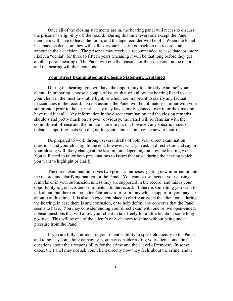Once all of the closing statements are in, the hearing panel will recess to discuss the prisoner's eligibility off the record. During this time, everyone except the Panel members will have to leave the room, and the tape recorder will be off. When the Panel has made its decision, they will call everyone back in, go back on the record, and announce their decision. The prisoner may receive a recommended release date, or, more likely, a "denial" for three to fifteen years (meaning it will be that long before they get another parole hearing). The Panel will cite the reasons for their decision on the record, and the hearing will then conclude.

#### **Your Direct Examination and Closing Statement, Explained**

During the hearing, you will have the opportunity to "directly examine" your client. In preparing, choose a couple of issues that will allow the hearing Panel to see your client in the most favorable light, or which are important to clarify any factual inaccuracies in the record. Do not assume the Panel will be intimately familiar with your submission prior to the hearing. They may have simply glanced over it, or they may not have read it at all. Any information in the direct examination and the closing remarks should stand pretty much on its own (obviously, the Panel will be familiar with the commitment offense and the inmate's time in prison; however, any specific issues or outside supporting facts you dug up for your submission may be new to them).

Be prepared to work through several drafts of both your direct examination questions and your closing. In the end, however, what you ask in direct exam and say in your closing will likely change at the last minute, depending on how the hearing went. You will need to tailor both presentations to issues that arose during the hearing which you want to highlight or clarify.

The direct examination serves two primary purposes: getting new information into the record, and clarifying matters for the Panel. You cannot use facts in your closing remarks or in your submission unless they are supported in the record, and this is your opportunity to get facts and sentiments into the record. If there is something you want to talk about, but there are no letters/chronos/prior testimony which support it, you may ask about it at this time. It is also an excellent place to clarify answers the client gave during the hearing, in case there is any confusion, or to help defray any concerns that the Panel seems to have. You may consider ending your direct exam with one or two open-ended, upbeat questions that will allow your client to talk freely for a little bit about something positive. This will be one of the client's only chances to shine without being under pressure from the Panel.

If you are fully confident in your client's ability to speak eloquently to the Panel, and to not say something damaging, you may consider asking your client some direct questions about their responsibility for the crime and their level of remorse. In some cases, the Panel may not ask your client directly how they feels about the crime, and it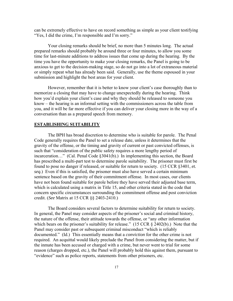can be extremely effective to have on record something as simple as your client testifying "Yes, I did the crime, I'm responsible and I'm sorry."

Your closing remarks should be brief, no more than 5 minutes long. The actual prepared remarks should probably be around three or four minutes, to allow you some time for last-minute additions to address issues that come up during the hearing. By the time you have the opportunity to make your closing remarks, the Panel is going to be anxious to get to the decision-making stage, so do not go into a lot of extraneous material or simply repeat what has already been said. Generally, use the theme espoused in your submission and highlight the best areas for your client.

However, remember that it is better to know your client's case thoroughly than to memorize a closing that may have to change unexpectedly during the hearing. Think how you'd explain your client's case and why they should be released to someone you know – the hearing is an informal setting with the commissioners across the table from you, and it will be far more effective if you can deliver your closing more in the way of a conversation than as a prepared speech from memory.

#### **ESTABLISHING SUITABILITY**

The BPH has broad discretion to determine who is suitable for parole. The Penal Code generally requires the Panel to set a release date, unless it determines that the gravity of the offense, or the timing and gravity of current or past convicted offenses, is such that "consideration of the public safety requires a more lengthy period of incarceration…" (Cal. Penal Code §3041(b).) In implementing this section, the Board has prescribed a multi-part test to determine parole suitability. The prisoner must first be found to pose no danger if released, or suitable for return to society. (15 CCR §3401, *et. seq.*) Even if this is satisfied, the prisoner must also have served a certain minimum sentence based on the gravity of their commitment offense. In most cases, our clients have not been found suitable for parole before they have served their adjusted base term, which is calculated using a matrix in Title 15, and other criteria stated in the code that concern specific circumstances surrounding the commitment offense and post conviction credit. (*See* Matrix at 15 CCR §§ 2403-2410.)

The Board considers several factors to determine suitability for return to society. In general, the Panel may consider aspects of the prisoner's social and criminal history, the nature of the offense, their attitude towards the offense, or "any other information which bears on the prisoner's suitability for release." (15 CCR  $\S$  2402(b).) Note that the Panel may consider past or subsequent criminal misconduct "which is reliably documented." (Id.) This essentially means that a *conviction* for the other crime is not required. An acquittal would likely preclude the Panel from considering the matter, but if the inmate has been accused or charged with a crime, but never went to trial for some reason (charges dropped, etc.), the Panel will probably hold this against them, pursuant to "evidence" such as police reports, statements from other prisoners, etc.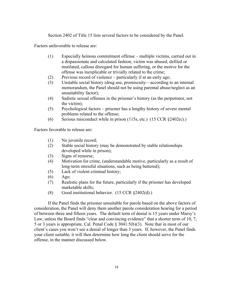Section 2402 of Title 15 lists several factors to be considered by the Panel.

Factors unfavorable to release are:

- (1) Especially heinous commitment offense multiple victims, carried out in a dispassionate and calculated fashion, victim was abused, defiled or mutilated, callous disregard for human suffering, or the motive for the offense was inexplicable or trivially related to the crime;
- (2) Previous record of violence particularly if at an early age;
- (3) Unstable social history (drug use, promiscuity—according to an internal memorandum, the Panel should not be using parental abuse/neglect as an unsuitability factor);
- (4) Sadistic sexual offenses in the prisoner's history (as the perpetrator, not the victim);
- (5) Psychological factors prisoner has a lengthy history of severe mental problems related to the offense;
- (6) Serious misconduct while in prison (115s, etc.) (15 CCR  $\S 2402(c)$ .)

Factors favorable to release are:

- (1) No juvenile record;
- (2) Stable social history (may be demonstrated by stable relationships developed while in prison);
- (3) Signs of remorse;
- (4) Motivation for crime, (understandable motive, particularly as a result of long-term stressful situations, such as being battered);
- (5) Lack of violent criminal history;
- (6) Age;
- (7) Realistic plans for the future, particularly if the prisoner has developed marketable skills;
- (8) Good institutional behavior. (15 CCR §2402(d).)

If the Panel finds the prisoner unsuitable for parole based on the above factors of consideration, the Panel will deny them another parole consideration hearing for a period of between three and fifteen years. The default term of denial is 15 years under Marsy's Law, unless the Board finds "clear and convincing evidence" that a shorter term of 10, 7, 5 or 3 years is appropriate. Cal. Penal Code § 3041.5(b)(3). Note that in most of our client's cases you won't see a denial of longer than 3 years. If, however, the Panel finds your client suitable, it will then determine how long the client should serve for the offense, in the manner discussed below.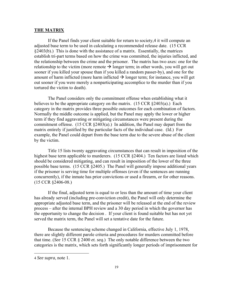#### **THE MATRIX**

If the Panel finds your client suitable for return to society,4 it will compute an adjusted base term to be used in calculating a recommended release date. (15 CCR §2403(b).) This is done with the assistance of a matrix. Essentially, the matrices establish tri-part terms based on how the crime was committed, the injuries inflicted, and the relationship between the crime and the prisoner. The matrix has two axes: one for the relationship to the victim (more remote  $\rightarrow$  longer term; in other words, you will get out sooner if you killed your spouse than if you killed a random passer-by), and one for the amount of harm inflicted (more harm inflicted  $\rightarrow$  longer term; for instance, you will get out sooner if you were merely a nonparticipating accomplice to the murder than if you tortured the victim to death).

The Panel considers only the commitment offense when establishing what it believes to be the appropriate category on the matrix.  $(15 \text{ CCR } \S 2403(a))$  Each category in the matrix provides three possible outcomes for each combination of factors. Normally the middle outcome is applied, but the Panel may apply the lower or higher term if they find aggravating or mitigating circumstances were present during the commitment offense.  $(15 \text{ CCR } \S 2403(a))$  In addition, the Panel may depart from the matrix entirely if justified by the particular facts of the individual case. (Id.) For example, the Panel could depart from the base term due to the severe abuse of the client by the victim.

Title 15 lists twenty aggravating circumstances that can result in imposition of the highest base term applicable to murderers. (15 CCR §2404.) Ten factors are listed which should be considered mitigating, and can result in imposition of the lower of the three possible base terms. (15 CCR §2405.) The Panel will generally impose additional years if the prisoner is serving time for multiple offenses (even if the sentences are running concurrently), if the inmate has prior convictions or used a firearm, or for other reasons. (15 CCR §2406-08.)

If the final, adjusted term is equal to or less than the amount of time your client has already served (including pre-conviction credit), the Panel will only determine the appropriate adjusted base term, and the prisoner will be released at the end of the review process – after the internal BPH review and a 30 day period in which the governor has the opportunity to change the decision . If your client is found suitable but has not yet served the matrix term, the Panel will set a tentative date for the future.

Because the sentencing scheme changed in California, effective July 1, 1978, there are slightly different parole criteria and procedures for murders committed before that time. (*See* 15 CCR § 2400 *et. seq.*) The only notable difference between the two categories is the matrix, which sets forth significantly longer periods of imprisonment for

 $\overline{a}$ 

<sup>4</sup> *See supra*, note 1.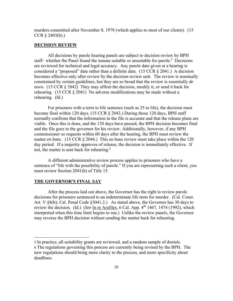murders committed after November 8, 1978 (which applies to most of our clients). (15 CCR  $\S 2403(b)$ .)

#### **DECISION REVIEW**

All decisions by parole hearing panels are subject to decision review by BPH staff– whether the Panel found the inmate suitable or unsuitable for parole.<sup>5</sup> Decisions are reviewed for technical and legal accuracy. Any parole date given at a hearing is considered a "proposed" date rather than a definite date. (15 CCR § 2041.) A decision becomes effective only after review by the decision review unit. The review is nominally constrained by certain guidelines, but they are so broad that the review is essentially *de novo*. (15 CCR § 2042) They may affirm the decision, modify it, or send it back for rehearing. (15 CCR § 2041) No adverse modifications may be made without a rehearing. (Id.)

For prisoners with a term to life sentence (such as 25 to life), the decision must become final within 120 days. (15 CCR § 2043.) During those 120 days, BPH staff normally confirms that the information in the file is accurate and that the release plans are viable. Once this is done, and the 120 days have passed, the BPH decision becomes final and the file goes to the governor for his review. Additionally, however, if any BPH commissioner so requests within 60 days after the hearing, the BPH must review the matter *en banc*. (15 CCR § 2044.) This en banc review must take place within the 120 day period. If a majority approves of release, the decision is immediately effective. If not, the matter is sent back for rehearing.<sup>6</sup>

A different administrative review process applies to prisoners who have a sentence of "life with the possibility of parole." If you are representing such a client, you must review Section 2041(h) of Title 15.

#### **THE GOVERNOR'S FINAL SAY**

 $\overline{\phantom{a}}$ 

After the process laid out above, the Governor has the right to review parole decisions for prisoners sentenced to an indeterminate life term for murder. (Cal. Const. Art. V §8(b); Cal. Penal Code §3041.2.) As stated above, the Governor has 30 days to review the decision. (Id.) (*See* In re Arafiles, 6 Cal. App. 4<sup>th</sup> 1467, 1474 (1992), which interpreted when this time limit begins to run.) Unlike the review panels, the Governor may reverse the BPH decision without sending the matter back for rehearing.

<sup>5</sup> In practice, all suitability grants are reviewed, and a random sample of denials.

<sup>6</sup> The regulations governing this process are currently being revised by the BPH. The new regulations should bring more clarity to the process, and more specificity about deadlines.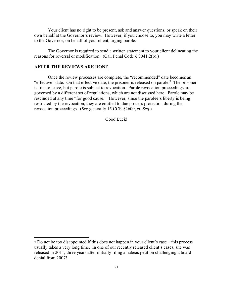Your client has no right to be present, ask and answer questions, or speak on their own behalf at the Governor's review. However, if you choose to, you may write a letter to the Governor, on behalf of your client, urging parole.

The Governor is required to send a written statement to your client delineating the reasons for reversal or modification. (Cal. Penal Code § 3041.2(b).)

#### **AFTER THE REVIEWS ARE DONE**

 $\overline{\phantom{a}}$ 

Once the review processes are complete, the "recommended" date becomes an "effective" date. On that effective date, the prisoner is released on parole.<sup>7</sup> The prisoner is free to leave, but parole is subject to revocation. Parole revocation proceedings are governed by a different set of regulations, which are not discussed here. Parole may be rescinded at any time "for good cause." However, since the parolee's liberty is being restricted by the revocation, they are entitled to due process protection during the revocation proceedings. (*See* generally 15 CCR §2600, *et. Seq*.)

Good Luck!

<sup>7</sup> Do not be too disappointed if this does not happen in your client's case – this process usually takes a very long time. In one of our recently released client's cases, she was released in 2011, three years after initially filing a habeas petition challenging a board denial from 2007!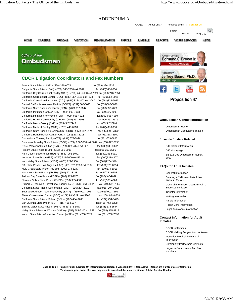CA.gov | About CDCR | Featured Links | **Contact Us**



### **CDCR Litigation Coordinators and Fax Numbers**

Avenal State Prison (ASP) - (559) 386-6074 fax (559) 386-2337 Calipatria State Prison (CAL) - (760) 348-7000 ext 5164 fax (760) 348-6064 California City Correctional Facility (CAC) - (760) 246-7600 ext 7521 fax (760) 246-7051 California Correctional Center (CCC) - (530) 257-2181 ext 4623 fax (530)252-3028 California Correctional Institution (CCI) - (661) 822-4402 ext 3047 fax (661)823-5023 Central California Women's Facility (CCWF) - (559) 665-6025 fax (559)665-6020 California State Prison, Centinela (CEN) - (760) 337-7647 fax (760) 337-7650 California Institution for Men (CIM) - (909) 606-7063 fax (909)606-7093 California Institution for Women (CIW) - (909) 606-4932 fax (909)606-4960 California Health Care Facility (CHCF) - (209) 467-2568 fax (909) 467-2676 California Men's Colony (CMC) - (805) 547-7947 fax (805)547-7791 California Medical Facility (CMF) - (707) 449-6510 fax (707) 469-6006 California State Prison, Corcoran (CSP-COR) - (559) 992-6174 fax (559)992-7372 California Rehabilitation Center (CRC) - (951) 273-2918 fax (951)273-2359 Correctional Training Facility (CTF) - (831) 678-5826 fax (831)678-5866 Chuckawalla Valley State Prison (CVSP) - (760) 922-5300 ext 5267 fax (760)922-6855 Deuel Vocational Institution (DVI) – (209) 835-4141 ext 6228 fax (209)830-3922 Folsom State Prison (FSP) - (916) 351-3038 fax (916)351-3086 High Desert State Prison (HDSP) - (530) 251-5072 fax (530) 251-5031 Ironwood State Prison (ISP) - (760) 921-3000 ext 551 8 fax (760)921-4307 Kern Valley State Prison (KVSP) - (661) 721-6306 fax (661) 720-4949 CA. State Prison, Los Angeles (LAC) -(661) 729-2000 ext 5562 fax (661)729-6994 Mule Creek State Prison (MCSP) - (209) 274-5247 fax (209)274-5018 North Kern State Prison (NKSP) - (661) 721-3188 fax (661) 721-6205 Pelican Bay State Prison (PBSP) - (707) 465-9075 fax (707) 465-9099 Pleasant Valley State Prison (PVSP) - (559) 935-4985 fax (559) 935-4928 Richard J. Donovan Correctional Facility (RJD) - (619) 661-7862 fax (619) 671-7566 California State Prison, Sacramento (SAC) - (916) 294-3011 fax (916) 294-3072 Substance Abuse Treatment Facility (SATF) – (559) 992-7206 fax (559) 992-7191 Sierra Conservation Center (SCC) - (209) 984-5291 ext 5365 fax (209) 984-8508 California State Prison, Solano (SOL) - (707) 454-3263 fax (707) 454-3429 San Quentin State Prison (SQ) - (415) 455-5007 fax (415) 454-6288 Salinas Valley State Prison (SVSP) - (831) 678-5573 fax (831) 678-5544 Valley State Prison for Women (VSPW) - (559) 665-6100 ext 5582 fax (559) 665-8919 Wasco State Prison-Reception Center (WSP) - (661) 758-7029 fax (661) 758-7093



#### **Ombudsman Contact Information**

Ombudsman Home Ombudsman Contact Information

#### **Juvenile Justice Related**

DJJ Contact Information DJJ Homepage SB 518 DJJ Ombudsman Report 2010

#### **FAQs for Adult Inmates**

General Information Entering a California State Prison -What to Expect General Information Upon Arrival To Endorsed Institution Transfer Information Visiting Information Parole Information Health Care Information Legal Assistance Information

#### **Contact Information for Adult Inmates**

CDCR Institutions CDCR Visiting Sergeant or Lieutenant Institution Medical Release of Information Community Partnership Contacts Litigation Coordinators And Fax Numbers

**Back to Top | Privacy Policy & Notice On Information Collection | Accessibility | Contact Us | Copyright © 2015 State of California To view and print some files you may need to download the latest version of Adobe Acrobat Reader .**

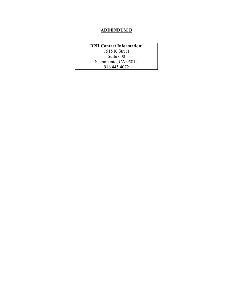### **ADDENDUM B**

**BPH Contact Information:**  1515 K Street Suite 600 Sacramento, CA 95814 916.445.4072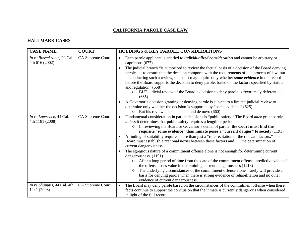#### **CALIFORNIA PAROLE CASE LAW**

#### **HALLMARK CASES**

| <b>CASE NAME</b>                             | <b>COURT</b>            | <b>HOLDINGS &amp; KEY PAROLE CONSIDERATIONS</b>                                                                                                                                                                                                                                                                                                                                                                                                                                                                                                                                                                                                                                                                                                                                                                                                                                                                                                                                                                                                                                                                                  |
|----------------------------------------------|-------------------------|----------------------------------------------------------------------------------------------------------------------------------------------------------------------------------------------------------------------------------------------------------------------------------------------------------------------------------------------------------------------------------------------------------------------------------------------------------------------------------------------------------------------------------------------------------------------------------------------------------------------------------------------------------------------------------------------------------------------------------------------------------------------------------------------------------------------------------------------------------------------------------------------------------------------------------------------------------------------------------------------------------------------------------------------------------------------------------------------------------------------------------|
| In re Rosenkrantz, 29 Cal.<br>4th 616 (2002) | CA Supreme Court        | Each parole applicant is entitled to <i>individualized consideration</i> and cannot be arbitrary or<br>$\bullet$<br>capricious (677)<br>The judicial branch "is authorized to review the factual basis of a decision of the Board denying<br>$\bullet$<br>parole  to ensure that the decision comports with the requirements of due process of law, but<br>in conducting such a review, the court may inquire only whether some evidence in the record<br>before the Board supports the decision to deny parole, based on the factors specified by statute<br>and regulation" (658)<br>BUT judicial review of the Board's decision to deny parole is "extremely deferential"<br>$\circ$<br>(665)<br>A Governor's decision granting or denying parole is subject to a limited judicial review to<br>$\bullet$<br>determine only whether the decision is supported by "some evidence" (625)<br>But his review is independent and de novo (660)<br>$\circ$                                                                                                                                                                          |
| In re Lawrence, 44 Cal.<br>4th 1181 (2008)   | <b>CA Supreme Court</b> | Fundamental consideration in parole decisions is "public safety." The Board must grant parole<br>$\bullet$<br>unless it determines that public safety requires a lengthier period.<br>In reviewing the Board or Governor's denial of parole, the Court must find the<br>$\circ$<br>requisite "some evidence" than inmate poses a "current danger" to society (1191)<br>A finding of suitability requires more than just a "rote recitation of the relevant factors." The<br>Board must establish a "rational nexus between those factors and the determination of<br>current dangerousness."<br>The egregious nature of a commitment offense alone is not enough for determining current<br>dangerousness. (1191)<br>After a long period of time from the date of the commitment offense, predictive value of<br>$\circ$<br>the offense loses value in determining current dangerousness (1218)<br>The underlying circumstances of the commitment offense alone "rarely will provide a<br>$\circ$<br>basis for denying parole when there is strong evidence of rehabilitation and no other<br>evidence of current dangerousness" |
| In re Shaputis, 44 Cal. 4th<br>1241 (2008)   | CA Supreme Court        | The Board may deny parole based on the circumstances of the commitment offense when these<br>$\bullet$<br>facts continue to support the conclusion that the inmate is currently dangerous when considered<br>in light of the full record                                                                                                                                                                                                                                                                                                                                                                                                                                                                                                                                                                                                                                                                                                                                                                                                                                                                                         |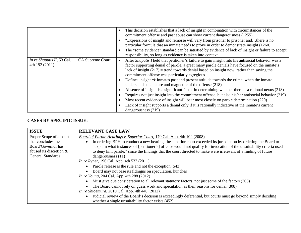|                                              |                         | This decision establishes that a lack of insight in combination with circumstances of the<br>$\bullet$<br>commitment offense and past abuse can show current dangerousness (1255)<br>"Expressions of insight and remorse will vary from prisoner to prisoner andthere is no<br>particular formula that an inmate needs to prove in order to demonstrate insight (1260)<br>The "some evidence" standard can be satisfied by evidence of lack of insight or failure to accept<br>responsibility, so long as evidence is taken into context                                                                                                                                                                                                                                                                                                                                                                                                                                         |
|----------------------------------------------|-------------------------|----------------------------------------------------------------------------------------------------------------------------------------------------------------------------------------------------------------------------------------------------------------------------------------------------------------------------------------------------------------------------------------------------------------------------------------------------------------------------------------------------------------------------------------------------------------------------------------------------------------------------------------------------------------------------------------------------------------------------------------------------------------------------------------------------------------------------------------------------------------------------------------------------------------------------------------------------------------------------------|
| In re Shaputis II, 53 Cal.<br>4th 192 (2011) | <b>CA Supreme Court</b> | After <i>Shaputis I</i> held that petitioner's failure to gain insight into his antisocial behavior was a<br>$\bullet$<br>factor supporting denial of parole, a great many parole denials have focused on the inmate's<br>lack of insight $(217)$ = trend towards denial based on insight now, rather than saying the<br>commitment offense was particularly egregious<br>Defines insight $\rightarrow$ inmates past and present attitude towards the crime, when the inmate<br>$\bullet$<br>understands the nature and magnetite of the offense (218)<br>Absence of insight is a significant factor in determining whether there is a rational nexus (218)<br>Requires not just insight into the commitment offense, but also his/her antisocial behavior (219)<br>Most recent evidence of insight will bear most closely on parole determination (220)<br>Lack of insight supports a denial only if it is rationally indicative of the inmate's current<br>dangerousness (219) |

#### **CASES BY SPECIFIC ISSUE:**

| <b>ISSUE</b>              | <b>RELEVANT CASE LAW</b>                                                                                              |
|---------------------------|-----------------------------------------------------------------------------------------------------------------------|
| Proper Scope of a court   | Board of Parole Hearings v. Superior Court, 170 Cal. App. 4th 104 (2008)                                              |
| that concludes the        | In ordering BPH to conduct a new hearing, the superior court exceeded its jurisdiction by ordering the Board to       |
| Board/Governor has        | "explain what instances of [petitioner's] offense would not qualify for invocation of the unsuitability criteria used |
| abused its discretion $&$ | to deny him parole," since the findings that the court directed to make were irrelevant of a finding of future        |
| <b>General Standards</b>  | dangerousness $(11)$                                                                                                  |
|                           | <i>In re Ryner</i> , 196 Cal. App. 4th 533 (2011)                                                                     |
|                           | Parole release is the rule and not the exception (543)                                                                |
|                           | Board may not base its fidnigns on speculation, hunches                                                               |
|                           | <i>In re Young</i> , 204 Cal. App. 4th 288 (2012)                                                                     |
|                           | Must give due consideration to all relevant statutory factors, not just some of the factors (305)                     |
|                           | The Board cannot rely on guess work and speculation as their reasons for denial (308)                                 |
|                           | <i>In re Shigemura</i> , 2010 Cal. App. 4th 440 (2012)                                                                |
|                           | Judicial review of the Board's decision is exceedingly deferential, but courts must go beyond simply deciding         |
|                           | whether a single unsuitability factor exists (452)                                                                    |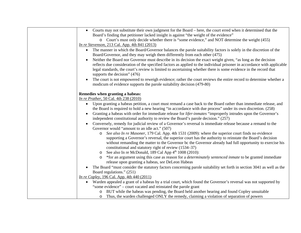| Courts may not substitute their own judgment for the Board – here, the court erred when it determined that the<br>$\bullet$                                                                                                                                                                                                                                                                  |
|----------------------------------------------------------------------------------------------------------------------------------------------------------------------------------------------------------------------------------------------------------------------------------------------------------------------------------------------------------------------------------------------|
| Board's finding that petitioner lacked insight is against "the weight of the evidence"                                                                                                                                                                                                                                                                                                       |
| o Court's must only decide whether there is "some evidence," and NOT determine the weight (455)                                                                                                                                                                                                                                                                                              |
| <i>In re Stevenson</i> , 213 Cal. App. 4th 841 (2013)                                                                                                                                                                                                                                                                                                                                        |
| The manner in which the Board/Governor balances the parole suitability factors is solely in the discretion of the<br>$\bullet$<br>Board/Governor, and they may weigh them differently from each other (475)                                                                                                                                                                                  |
| Neither the Board nor Governor must describe in its decision the exact weight given, "as long as the decision<br>reflects due consideration of the specified factors as applied to the individual prisoner in accordance with applicable<br>legal standards, the court's review is limited to ascertaining whether there is some evidence in the record that<br>supports the decision" (476) |
| The court is not empowered to reweigh evidence; rather the court reviews the entire record to determine whether a<br>$\bullet$<br>modicum of evidence supports the parole suitability decision (479-80)                                                                                                                                                                                      |
| Remedies when granting a habeas:                                                                                                                                                                                                                                                                                                                                                             |
| <i>In re Prather</i> , 50 Cal. 4th 238 (2010)                                                                                                                                                                                                                                                                                                                                                |
| Upon granting a habeas petition, a court must remand a case back to the Board rather than immediate release, and<br>$\bullet$<br>the Board is required to hold a new hearing "in accordance with due process" under its own discretion. (258)                                                                                                                                                |
| Granting a habeas with order for immediate release for <i>lifer-inmates</i> "improperly intrudes upon the Governor's<br>independent constitutional authority to review the Board's parole decision." (257)                                                                                                                                                                                   |
| Conversely, remedy for judicial review of a Governor's reversal is immediate release because a remand to the                                                                                                                                                                                                                                                                                 |
| Governor would "amount to an idle act." (507)                                                                                                                                                                                                                                                                                                                                                |
| See also In re Masoner, 179 Cal. App. 4th 1531 (2009): where the superior court finds no evidence<br>$\circ$<br>supporting a Governor's reversal, the superior court has the authority to reinstate the Board's decision                                                                                                                                                                     |
| without remanding the matter to the Governor bc the Governor already had full opportunity to exercise his<br>constitutional and statutory right of review (1534–37)                                                                                                                                                                                                                          |
| See also In re McDonald, 189 Cal App 4 <sup>th</sup> 1008 (2010):<br>$\circ$                                                                                                                                                                                                                                                                                                                 |
| *for an argument using this case as reason for a <i>determinately sentenced inmate</i> to be granted immediate<br>$\circ$<br>release upon granting a habeas, see DeLeon Habeas                                                                                                                                                                                                               |
| The Board "must consider the statutory factors concerning parole suitability set forth in section 3041 as well as the                                                                                                                                                                                                                                                                        |
| Board regulations." (251)                                                                                                                                                                                                                                                                                                                                                                    |
| <i>In re Copley</i> , 196 Cal. App. 4th 440 (2011)                                                                                                                                                                                                                                                                                                                                           |
| Warden appealed a grant of a habeas by a trial court, which found the Governor's reversal was not supported by<br>$\bullet$                                                                                                                                                                                                                                                                  |
| "some evidence" – court vacated and reinstated the parole grant                                                                                                                                                                                                                                                                                                                              |
| o BUT while the habeas was pending, the Board held another hearing and found Copley unsuitable                                                                                                                                                                                                                                                                                               |
| Thus, the warden challenged ONLY the remedy, claiming a violation of separation of powers<br>$\circ$                                                                                                                                                                                                                                                                                         |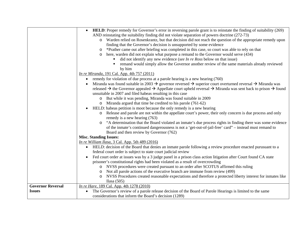|                          | HELD: Proper remedy for Governor's error in reversing parole grant is to reinstate the finding of suitability (269)<br>$\bullet$                             |
|--------------------------|--------------------------------------------------------------------------------------------------------------------------------------------------------------|
|                          | AND reinstating the suitability finding did not violate separation of powers doctrine (272-73)                                                               |
|                          | o Warden relied on Rosenkrantz, but that decision did not reach the question of the appropriate remedy upon                                                  |
|                          | finding that the Governor's decision is unsupported by some evidence                                                                                         |
|                          | *Prather came out after briefing was completed in this case, so court was able to rely on that<br>$\circ$                                                    |
|                          | here, warden did not explain what purpose a remand to the Governor would serve (434)<br>$\circ$                                                              |
|                          | did not identify any new evidence (see In re Ross below on that issue)                                                                                       |
|                          | remand would simply allow the Governor another review of the same materials already reviewed<br>п                                                            |
|                          | by him                                                                                                                                                       |
|                          | <i>In re Miranda</i> , 191 Cal. App. 4th 757 (2011)                                                                                                          |
|                          | remedy for violation of due process at a parole hearing is a new hearing (760)                                                                               |
|                          | Miranda was found suitable in 2003 $\rightarrow$ governor reversed $\rightarrow$ superior court overturned reversal $\rightarrow$ Miranda was                |
|                          | released $\rightarrow$ the Governor appealed $\rightarrow$ Appellate court upheld reversal $\rightarrow$ Miranda was sent back to prison $\rightarrow$ found |
|                          | unsuitable in 2007 and filed habeas resulting in this case                                                                                                   |
|                          | o But while it was pending, Miranda was found suitable in 2009                                                                                               |
|                          | o Miranda argued that time be credited to his parole (761-62)                                                                                                |
|                          | HELD: habeas petition is moot because the only remedy is a new hearing                                                                                       |
|                          | o Release and parole are not within the appellate court's power, their only concern is due process and only                                                  |
|                          | remedy is a new hearing (763)                                                                                                                                |
|                          | "A determination that the Board violated an inmate's due process rights in finding there was some evidence<br>$\circ$                                        |
|                          | of the inmate's continued dangerousness is not a 'get-out-of-jail-free' card" - instead must remand to                                                       |
|                          | Board and then review by Governor (762)                                                                                                                      |
|                          | <b>Misc. Standing Issues:</b>                                                                                                                                |
|                          | In re William Ilasa, 3 Cal. App. 5th 489 (2016)                                                                                                              |
|                          | HELD: decision of the Board that denies an inmate parole following a review procedure enacted purusuant to a<br>$\bullet$                                    |
|                          | federal court order is subject to state court judicial review                                                                                                |
|                          | Fed court order at issues was by a 3 judge panel in a prison class action litigation after Court found CA state                                              |
|                          | prisoner's constitutional rights had been violated as a result of overcrowding                                                                               |
|                          | NVSS procedures were created pursuant to an order after SCOTUS affirmed this ruling<br>$\circ$                                                               |
|                          | Not all parole actions of the executive branch are immune from review (499)<br>$\circ$                                                                       |
|                          | NVSS Procedures created reasonable expectations and therefore a protected liberty interest for inmates like<br>$\circ$                                       |
|                          | Ilasa (505)                                                                                                                                                  |
| <b>Governor Reversal</b> | <i>In re Hare</i> , 189 Cal. App. 4th 1278 (2010)                                                                                                            |
| <b>Issues</b>            | The Governor's review of a parole release decision of the Board of Parole Hearings is limited to the same<br>$\bullet$                                       |
|                          | considerations that inform the Board's decision (1289)                                                                                                       |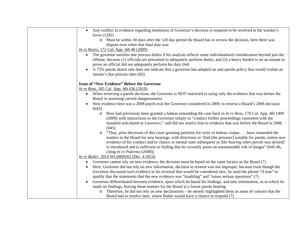| Any conflict in evidence regarding timeliness of Governor's decision is required to be resolved in the warden's<br>favor (1292)                                                                                                                                                                                                                                                                                                                                                 |
|---------------------------------------------------------------------------------------------------------------------------------------------------------------------------------------------------------------------------------------------------------------------------------------------------------------------------------------------------------------------------------------------------------------------------------------------------------------------------------|
| Must be within 30 days after the 120 day period the Board has to review the decision, here there was<br>$\circ$<br>dispute over when that final date was<br><i>In re Rozzo</i> , 172 Cal. App. 4th 40 (2009)                                                                                                                                                                                                                                                                    |
| The governor satisfies due process duties if his analysis reflects some individualized consideration beyond just the<br>$\bullet$<br>offense, because (1) officials are presumed to adequately perform duties, and (2) a heavy burden is on an inmate to<br>prove an official did not adequately perform his duty (64)<br>A 72% parole denial rate does not indicate that a governor has adopted an anti-parole policy that would violate an<br>inmate's due process rates (65) |
| <b>Issue of "New Evidence" Before the Governor</b>                                                                                                                                                                                                                                                                                                                                                                                                                              |
| <i>In re Ross</i> , 185 Cal. App. 4th 636 (2010)                                                                                                                                                                                                                                                                                                                                                                                                                                |
| When reversing a parole decision, the Governor is NOT restricted to using only the evidence that was before the<br>$\bullet$                                                                                                                                                                                                                                                                                                                                                    |
| Board in assessing current dangerousness                                                                                                                                                                                                                                                                                                                                                                                                                                        |
| New evidence here was a 2008 psych eval the Governor considered in 2009, to reverse a Board's 2006 decision                                                                                                                                                                                                                                                                                                                                                                     |
| (643)                                                                                                                                                                                                                                                                                                                                                                                                                                                                           |
| Ross had previously been granted a habeas remanding the case back in <i>In re Ross</i> , 170 Cal. App. 4th 1490<br>$\circ$<br>(2009) with instructions to the Governor simply to "conduct further proceedings consistent with the<br>standard articulated in <i>Lawrence</i> ," and did not restrict him to evidence that was before the Board in 2006<br>(645)                                                                                                                 |
| "Thus, prior decisions of this court granting petitions for writs of habeas corpus have remanded the<br>$\circ$<br>matters to the Board for new hearings, with directions to 'find [the prisoner] suitable for parole, unless new<br>evidence of his conduct and/or chance in mental state subsequent to [the hearing when parole was denied]<br>is introduced and is sufficient to finding that he currently poses an unreasonable risk of danger" (645-46,                    |
| citing In re Palermo (2009))                                                                                                                                                                                                                                                                                                                                                                                                                                                    |
| <i>In re Butler</i> , 2014 WL6809262 (Dec. 4 2014)                                                                                                                                                                                                                                                                                                                                                                                                                              |
| Governor cannot rely on new evidence; the decision must be based on the same factors as the Board (7)<br>$\bullet$                                                                                                                                                                                                                                                                                                                                                              |
| Here, Governor did not rely on new information, decision to reverse was not improper, because even though the                                                                                                                                                                                                                                                                                                                                                                   |
| Governor discussed such evidence in his reversal that would be considered new, he used the phrase "if true" to                                                                                                                                                                                                                                                                                                                                                                  |
| qualify that the statements that the new evidence was "troubling" and "raises serious questions" (7)                                                                                                                                                                                                                                                                                                                                                                            |
| Governor differentiated between evidence, upon which he based his findings, and new information, as to which he<br>made no findings, leaving those matters for the Board at a future parole hearing                                                                                                                                                                                                                                                                             |
| Therefore, he did not rely on new declarations – he merely highlighted them as areas of concern that the<br>$\circ$                                                                                                                                                                                                                                                                                                                                                             |
| Board had to resolve later, where Butler would have a chance to respond (7)                                                                                                                                                                                                                                                                                                                                                                                                     |
|                                                                                                                                                                                                                                                                                                                                                                                                                                                                                 |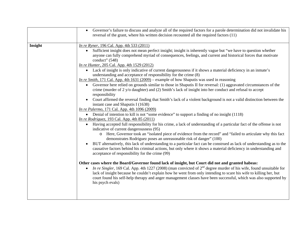|         | Governor's failure to discuss and analyze all of the required factors for a parole determination did not invalidate his<br>$\bullet$<br>reversal of the grant, where his written decision recounted all the required factors (11)                                                                                                                                                                                                                                                                                                                                                                                                                                                                                                                                                                                                                                                                                                                                                                                                                                                                                                                                                                                                                                                                                                                                                                                                                                                                                                                                                                                                                                                                                                                                                                                                                                                                                                                                                                                                                                                                                                                                                                                                                                                                                                                                                                                                                                                        |
|---------|------------------------------------------------------------------------------------------------------------------------------------------------------------------------------------------------------------------------------------------------------------------------------------------------------------------------------------------------------------------------------------------------------------------------------------------------------------------------------------------------------------------------------------------------------------------------------------------------------------------------------------------------------------------------------------------------------------------------------------------------------------------------------------------------------------------------------------------------------------------------------------------------------------------------------------------------------------------------------------------------------------------------------------------------------------------------------------------------------------------------------------------------------------------------------------------------------------------------------------------------------------------------------------------------------------------------------------------------------------------------------------------------------------------------------------------------------------------------------------------------------------------------------------------------------------------------------------------------------------------------------------------------------------------------------------------------------------------------------------------------------------------------------------------------------------------------------------------------------------------------------------------------------------------------------------------------------------------------------------------------------------------------------------------------------------------------------------------------------------------------------------------------------------------------------------------------------------------------------------------------------------------------------------------------------------------------------------------------------------------------------------------------------------------------------------------------------------------------------------------|
| Insight | <i>In re Ryner</i> , 196 Cal. App. 4th 533 (2011)<br>Sufficient insight does not mean perfect insight; insight is inherently vague but "we have to question whether<br>anyone can fully comprehend myriad of consequences, feelings, and current and historical forces that motivate<br>conduct" (548)<br><i>In re Hunter</i> , 205 Cal. App. 4th 1529 (2012)<br>• Lack of insight is only indicative of current dangerousness if it shows a material deficiency in an inmate's<br>understanding and acceptance of responsibility for the crime (8)<br><i>In re Smith</i> , 171 Cal. App. 4th 1631 (2009) – example of how Shaputis was used in reasoning<br>Governor here relied on grounds similar to those in Shaputis II for reversal: (1) aggravated circumstances of the<br>$\bullet$<br>crime (murder of $2 y/\circ$ daughter) and (2) Smith's lack of insight into her conduct and refusal to accept<br>responsibility<br>Court affirmed the reversal finding that Smith's lack of a violent background is not a valid distinction between the<br>instant case and Shaputis I (1638)<br>In re Palermo, 171 Cal. App. 4th 1096 (2009)<br>• Denial of intention to kill is not "some evidence" to support a finding of no insight (1118)<br><i>In re Rodriguez</i> , 193 Cal. App. 4th 85 (2011)<br>Having accepted full responsibility for his crime, a lack of understanding of a particular fact of the offense is not<br>$\bullet$<br>indicative of current dangerousness (95)<br>o Here, Governor took an "isolated piece of evidence from the record" and "failed to articulate why this fact<br>demonstrates Rodriguez poses an unreasonable risk of danger" (100)<br>BUT alternatively, this lack of understanding to a particular fact can be construed as lack of understanding as to the<br>causative factors behind his criminal actions, but only where it shows a material deficiency in understanding and<br>acceptance of responsibility for the crime (99)<br>Other cases where the Board/Governor found lack of insight, but Court did not and granted habeas:<br>In re Singler, 169 Cal. App. 4th 1227 (2008) (man convicted of $2nd$ degree murder of his wife, found unsuitable for<br>$\bullet$<br>lack of insight because he couldn't explain how he went from only intending to scare his wife to killing her, but<br>court found his self-help therapy and anger management classes have been successful, which was also supported by<br>his psych evals) |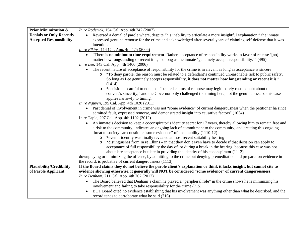| <b>Prior Minimization &amp;</b> | <i>In re Roderick</i> , 154 Cal. App. 4th 242 (2007)                                                                                                                                                                                                                                                                                                                                                                                                                                                                                                                                                                                                                                                                                                                                                                                                                                                                                      |  |
|---------------------------------|-------------------------------------------------------------------------------------------------------------------------------------------------------------------------------------------------------------------------------------------------------------------------------------------------------------------------------------------------------------------------------------------------------------------------------------------------------------------------------------------------------------------------------------------------------------------------------------------------------------------------------------------------------------------------------------------------------------------------------------------------------------------------------------------------------------------------------------------------------------------------------------------------------------------------------------------|--|
| <b>Denials or Only Recently</b> | Reversed a denial of parole where, despite "his inability to articulate a more insightful explanation," the inmate<br>$\bullet$                                                                                                                                                                                                                                                                                                                                                                                                                                                                                                                                                                                                                                                                                                                                                                                                           |  |
| <b>Accepted Responsibility</b>  | expressed genuine remorse for the crime and acknowledged after several years of claiming self-defense that it was                                                                                                                                                                                                                                                                                                                                                                                                                                                                                                                                                                                                                                                                                                                                                                                                                         |  |
|                                 | intentional                                                                                                                                                                                                                                                                                                                                                                                                                                                                                                                                                                                                                                                                                                                                                                                                                                                                                                                               |  |
|                                 | <i>In re Elkins</i> , 114 Cal. App. 4th 475 (2006)                                                                                                                                                                                                                                                                                                                                                                                                                                                                                                                                                                                                                                                                                                                                                                                                                                                                                        |  |
|                                 | "There is <b>no minimum time requirement</b> . Rather, acceptance of responsibility works in favor of release '[no]<br>$\bullet$<br>matter how longstanding or recent it is,' so long as the inmate 'genuinely accepts responsibility.'" (495)                                                                                                                                                                                                                                                                                                                                                                                                                                                                                                                                                                                                                                                                                            |  |
|                                 | <i>In re Lee</i> , 143 Cal. App. 4th 1400 (2006)                                                                                                                                                                                                                                                                                                                                                                                                                                                                                                                                                                                                                                                                                                                                                                                                                                                                                          |  |
|                                 | The recent nature of acceptance of responsibility for the crime is irrelevant as long as acceptance is sincere<br>$\bullet$<br>"To deny parole, the reason must be related to a defendant's continued unreasonable risk to public safety.<br>$\circ$<br>So long as Lee genuinely accepts responsibility, it does not matter how longstanding or recent it is."<br>(1414)                                                                                                                                                                                                                                                                                                                                                                                                                                                                                                                                                                  |  |
|                                 | *decision is careful to note that "belated claims of remorse may legitimately cause doubt about the<br>$\circ$<br>convert's sincerity," and the Governor only challenged the timing here, not the genuineness, so this case<br>applies narrowly to timing.                                                                                                                                                                                                                                                                                                                                                                                                                                                                                                                                                                                                                                                                                |  |
|                                 | In re Nguyen, 195 Cal. App. 4th 1020 (2011)                                                                                                                                                                                                                                                                                                                                                                                                                                                                                                                                                                                                                                                                                                                                                                                                                                                                                               |  |
|                                 | Past denial of involvement in crime was not "some evidence" of current dangerousness when the petitioner ha since<br>$\bullet$<br>admitted fault, expressed remorse, and demonstrated insight into causative factors" (1034)<br>In re Tapia, 207 Cal. App. 4th 1102 (2012)                                                                                                                                                                                                                                                                                                                                                                                                                                                                                                                                                                                                                                                                |  |
|                                 | An inmate's decision to keep a coconspirator's identity secret for 17 years, thereby allowing him to remain free and<br>$\bullet$<br>a risk to the community, indicates an ongoing lack of commitment to the community, and creating this ongoing<br>threat to society can constitute "some evidence" of unsuitability (1110-12)<br>*even if identity was finally revealed at most recent suitability hearing<br>$\circ$<br>*distinguishes from In re Elkins – in that they don't even have to decide if that decision can apply to<br>$\circ$<br>acceptance of full responsibility the day of, or during a break in the hearing, because this case was not<br>about late acceptance but late in providing the identity of his coconspirator (1112)<br>downplaying or minimizing the offense, by admitting to the crime but denying premeditation and preparation evidence in<br>the record, is probative of current dangerousness (1113) |  |
| <b>Plausibility/Credibility</b> | If the Board claims they do not believe the parole client's explanation or think it lacks insight, but cannot cite to                                                                                                                                                                                                                                                                                                                                                                                                                                                                                                                                                                                                                                                                                                                                                                                                                     |  |
| of Parole Applicant             | evidence showing otherwise, it generally will NOT be considered "some evidence" of current dangerousness:                                                                                                                                                                                                                                                                                                                                                                                                                                                                                                                                                                                                                                                                                                                                                                                                                                 |  |
|                                 | <i>In re Denham</i> , 211 Cal. App. 4th 702 (2012)                                                                                                                                                                                                                                                                                                                                                                                                                                                                                                                                                                                                                                                                                                                                                                                                                                                                                        |  |
|                                 | The Board believed that Denham's claim he played a "peripheral role" in the crime shows he is minimizing his<br>$\bullet$                                                                                                                                                                                                                                                                                                                                                                                                                                                                                                                                                                                                                                                                                                                                                                                                                 |  |
|                                 | involvement and failing to take responsibility for the crime (715)                                                                                                                                                                                                                                                                                                                                                                                                                                                                                                                                                                                                                                                                                                                                                                                                                                                                        |  |
|                                 | BUT Board cited no evidence establishing that his involvement was anything other than what he described, and the<br>$\bullet$                                                                                                                                                                                                                                                                                                                                                                                                                                                                                                                                                                                                                                                                                                                                                                                                             |  |
|                                 | record tends to corroborate what he said (716)                                                                                                                                                                                                                                                                                                                                                                                                                                                                                                                                                                                                                                                                                                                                                                                                                                                                                            |  |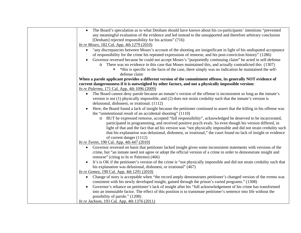| The Board's speculation as to what Denham should have known about his co-participants' intentions "prevented"<br>any meaningful evaluation of the evidence and led instead to the unsupported and therefore arbitrary conclusion<br>[Denham] rejected responsibility for his actions" (716)<br><i>In re Moses</i> , 182 Cal. App. 4th 1279 (2010) |  |
|---------------------------------------------------------------------------------------------------------------------------------------------------------------------------------------------------------------------------------------------------------------------------------------------------------------------------------------------------|--|
|                                                                                                                                                                                                                                                                                                                                                   |  |
|                                                                                                                                                                                                                                                                                                                                                   |  |
|                                                                                                                                                                                                                                                                                                                                                   |  |
|                                                                                                                                                                                                                                                                                                                                                   |  |
| "any discrepancies between Moses's account of the shooting are insignificant in light of his undisputed acceptance<br>$\bullet$<br>of responsibility for the crime his repeated expressions of remorse, and his post-conviction history" (1286)                                                                                                   |  |
| Governor reversed because he could not accept Moses's "purportedly continuing claim" he acted in self-defense                                                                                                                                                                                                                                     |  |
| There was no evidence in this case that Moses maintained this, and actually contradicted this (1307)<br>$\circ$                                                                                                                                                                                                                                   |  |
| *this is specific to the facts of the case, there simply was no indication he maintained the self-                                                                                                                                                                                                                                                |  |
| defense claim                                                                                                                                                                                                                                                                                                                                     |  |
| When a parole applicant provides a different version of the commitment offense, its generally NOT evidence of                                                                                                                                                                                                                                     |  |
| current dangerousness if it is outweighed by other factors, and not a physically impossible version:                                                                                                                                                                                                                                              |  |
| <i>In re Palermo</i> , 171 Cal. App. 4th 1096 (2009)                                                                                                                                                                                                                                                                                              |  |
| The Board cannot deny parole because an inmate's version of the offense is inconsistent so long as the inmate's<br>$\bullet$                                                                                                                                                                                                                      |  |
| version is not $(1)$ physically impossible, and $(2)$ does not strain credulity such that the inmate's version is                                                                                                                                                                                                                                 |  |
| delusional, dishonest, or irrational. (1112)                                                                                                                                                                                                                                                                                                      |  |
| Here, the Board found a lack of insight because the petitioner continued to assert that the killing in his offense was<br>$\bullet$                                                                                                                                                                                                               |  |
| the "unintentional result of an accidental shooting" (1110)                                                                                                                                                                                                                                                                                       |  |
| BUT he expressed remorse, accepted "full responsibility", acknowledged he deserved to be incarcerated,<br>$\circ$                                                                                                                                                                                                                                 |  |
| participated in programming, and received positive psych evals. So even though his version differed, in                                                                                                                                                                                                                                           |  |
| light of that and the fact that ad his version was "not physically impossible and did not strain credulity such                                                                                                                                                                                                                                   |  |
| that his explanation was delusional, dishonest, or irrational," the court found no lack of insight or evidence<br>of current danger (1112)                                                                                                                                                                                                        |  |
| <i>In re Twinn</i> , 190 Cal. App. 4th 447 (2010)                                                                                                                                                                                                                                                                                                 |  |
| Governor reversed on basis that petitioner lacked insight given some inconsistent statements with versions of the                                                                                                                                                                                                                                 |  |
| $\bullet$<br>crime, but "an inmate need not agree or adopt the official version of a crime in order to demonstrate insight and                                                                                                                                                                                                                    |  |
| remorse" (citing to In re Palermo) (466)                                                                                                                                                                                                                                                                                                          |  |
| It's is OK if the petitioner's version of the crime is "not physically impossible and did not strain credulity such that<br>$\bullet$                                                                                                                                                                                                             |  |
| his explanation was delusional, dishonest, or irrational" (467)                                                                                                                                                                                                                                                                                   |  |
| <i>In re Gomez</i> , 190 Cal. App. 4th 1291 (2010)                                                                                                                                                                                                                                                                                                |  |
| Change of story is acceptable when "the record amply demonstrates petitioner's changed version of the events was<br>$\bullet$                                                                                                                                                                                                                     |  |
| consistent with his newly developed insight, gained through the prison's varied programs." (1308)                                                                                                                                                                                                                                                 |  |
| Governor's reliance on petitioner's lack of insight after his "full acknowledgement of his crime has transformed<br>$\bullet$                                                                                                                                                                                                                     |  |
| into an immutable factor. The effect of this position is to transmute petitioner's sentence into life without the                                                                                                                                                                                                                                 |  |
| possibility of parole." (1208)                                                                                                                                                                                                                                                                                                                    |  |
| In re Jackson, 193 Cal. App. 4th 1376 (2011)                                                                                                                                                                                                                                                                                                      |  |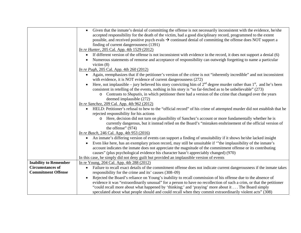|                              | Given that the inmate's denial of committing the offense is not necessarily inconsistent with the evidence, he/she<br>$\bullet$    |
|------------------------------|------------------------------------------------------------------------------------------------------------------------------------|
|                              | accepted responsibility for the death of the victim, had a good disciplinary record, programmed to the extent                      |
|                              | possible, and received positive psych evals $\rightarrow$ continued denial of committing the offense does NOT support a            |
|                              | finding of current dangerousness (1391)                                                                                            |
|                              | <i>In re Hunter</i> , 205 Cal. App. 4th 1529 (2012)                                                                                |
|                              | If different version of the offense is not inconsistent with evidence in the record, it does not support a denial (6)<br>$\bullet$ |
|                              | Numerous statements of remorse and acceptance of responsibility can outweigh forgetting to name a particular                       |
|                              | victim $(8)$                                                                                                                       |
|                              | <i>In re Pugh</i> , 205 Cal. App. 4th 260 (2012)                                                                                   |
|                              | Again, reemphasizes that if the petitioner's version of the crime is not "inherently incredible" and not inconsistent<br>$\bullet$ |
|                              | with evidence, it is NOT evidence of current dangerousness (272)                                                                   |
|                              | Here, not implausible – jury believed his story convicting him of $2nd$ degree murder rather than $1st$ , and he's been            |
|                              | consistent in retelling of the events, nothing in his story is "so far-fetched as to be unbelievable" (273)                        |
|                              | Contrasts to <i>Shaputis</i> , in which petitioner there had a version of the crime that changed over the years<br>$\circ$         |
|                              | deemed implausible (272)                                                                                                           |
|                              | <i>In re Sanchez</i> , 209 Cal. App. 4th 962 (2012)                                                                                |
|                              | HELD: Petitioner's refusal to hew to the "official record" of his crime of attempted murder did not establish that he              |
|                              | rejected responsibility for his actions                                                                                            |
|                              | o Here, decision did not turn on plausibility of Sanchez's account or more fundamentally whether he is                             |
|                              | currently dangerous, but it instead relied on the Board's "mistaken enshrinement of the official version of                        |
|                              | the offense" (974)                                                                                                                 |
|                              | <i>In re Busch</i> , 246 Cal. App. 4th 953 (2016)                                                                                  |
|                              | An inmate's differing version of events can support a finding of unsuitability if it shows he/she lacked insight<br>$\bullet$      |
|                              | Even like here, has an exemplary prison record, may still be unsuitable if "the implausibility of the inmate's                     |
|                              | account indicates the inmate does not appreciate the magnitude of the commitment offense or its contributing                       |
|                              | causes" (plus psychological evidence his character hasn't appreciably changed) (970)                                               |
|                              | In this case, he simply did not deny guilt but provided an implausible version of events                                           |
| <b>Inability to Remember</b> | In re Young, 204 Cal. App. 4th 288 (2012)                                                                                          |
| <b>Circumstances of</b>      | Failure to recall exact details of the commitment offense does not indicate current dangerousness if the inmate takes<br>$\bullet$ |
| <b>Commitment Offense</b>    | responsibility for the crime and its' causes (308–09)                                                                              |
|                              | Rejected the Board's reliance on Young's inability to recall commission of his offense due to the absence of                       |
|                              | evidence it was "extraordinarily unusual" for a person to have no recollection of such a crim, or that the petitioner              |
|                              | "could recall more about what happened by 'thinking;' and 'praying' more about it The Board simply                                 |
|                              | speculated about what people should and could recall when they commit extraordinarily violent acts" (308)                          |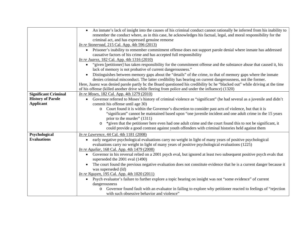| remember the conduct where, as in this case, he acknowledges his factual, legal, and moral responsibility for the<br>Prisoner's inability to remember commitment offense does not support parole denial where inmate has addressed<br>"given [petitioner] has taken responsibility for the commitment offense and the substance abuse that caused it, his<br>Here, Juarez was denied parole partly bc the Board questioned his credibility bc he "blacked out" while driving at the time |
|------------------------------------------------------------------------------------------------------------------------------------------------------------------------------------------------------------------------------------------------------------------------------------------------------------------------------------------------------------------------------------------------------------------------------------------------------------------------------------------|
|                                                                                                                                                                                                                                                                                                                                                                                                                                                                                          |
| Governor referred to Moses's history of criminal violence as "significant" (he had several as a juvenile and didn't                                                                                                                                                                                                                                                                                                                                                                      |
|                                                                                                                                                                                                                                                                                                                                                                                                                                                                                          |
| "significant" cannot be maintained based upon "one juvenile incident and one adult crime in the 15 years                                                                                                                                                                                                                                                                                                                                                                                 |
|                                                                                                                                                                                                                                                                                                                                                                                                                                                                                          |
| *given that the petitioner here even had one adult crime and the court found this to not be significant, it                                                                                                                                                                                                                                                                                                                                                                              |
|                                                                                                                                                                                                                                                                                                                                                                                                                                                                                          |
|                                                                                                                                                                                                                                                                                                                                                                                                                                                                                          |
|                                                                                                                                                                                                                                                                                                                                                                                                                                                                                          |
|                                                                                                                                                                                                                                                                                                                                                                                                                                                                                          |
| Governor in his reversal relied on a 2001 psych eval, but ignored at least two subsequent positive psych evals that                                                                                                                                                                                                                                                                                                                                                                      |
|                                                                                                                                                                                                                                                                                                                                                                                                                                                                                          |
| The court found the previous negative evaluation does not constitute evidence that he is a current danger because it                                                                                                                                                                                                                                                                                                                                                                     |
|                                                                                                                                                                                                                                                                                                                                                                                                                                                                                          |
|                                                                                                                                                                                                                                                                                                                                                                                                                                                                                          |
|                                                                                                                                                                                                                                                                                                                                                                                                                                                                                          |
| Governor found fault with an evaluator in failing to explore why petitioner reacted to feelings of "rejection"                                                                                                                                                                                                                                                                                                                                                                           |
|                                                                                                                                                                                                                                                                                                                                                                                                                                                                                          |
| Distinguishes between memory gaps about the "details" of the crime, to that of memory gaps where the inmate                                                                                                                                                                                                                                                                                                                                                                              |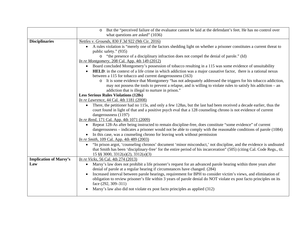|                               | But the "perceived failure of the evaluator cannot be laid at the defendant's feet. He has no control over<br>$\circ$                                                                                                                        |
|-------------------------------|----------------------------------------------------------------------------------------------------------------------------------------------------------------------------------------------------------------------------------------------|
|                               | what questions are asked" (1036)                                                                                                                                                                                                             |
| <b>Disciplinaries</b>         | Nettles v. Grounds, 830 F.3d 922 (9th Cir. 2016)                                                                                                                                                                                             |
|                               | A rules violation is "merely one of the factors shedding light on whether a prisoner constitutes a current threat to<br>$\bullet$                                                                                                            |
|                               | public safety." (935)                                                                                                                                                                                                                        |
|                               | "the presence of a disciplinary infraction does not compel the denial of parole." (Id)<br>$\circ$                                                                                                                                            |
|                               | In re Montgomery, 208 Cal. App. 4th 149 $(2012)$                                                                                                                                                                                             |
|                               | Board concluded Montgomery's possession of tobacco resulting in a 115 was some evidence of unsuitability                                                                                                                                     |
|                               | HELD: in the context of a life crime in which addiction was a major causative factor, there is a rational nexus                                                                                                                              |
|                               | between a 115 for tobacco and current dangerousness (163)                                                                                                                                                                                    |
|                               | o It is some evidence that Montgomery "has not adequately addressed the triggers for his tobacco addiction,                                                                                                                                  |
|                               | may not possess the tools to prevent a relapse, and is willing to violate rules to satisfy his addiction – an                                                                                                                                |
|                               | addiction that is illegal to nurture in prison."                                                                                                                                                                                             |
|                               | <b>Less Serious Rules Violations (128s)</b>                                                                                                                                                                                                  |
|                               | In re Lawrence, 44 Cal. 4th 1181 (2008)                                                                                                                                                                                                      |
|                               | There, the petitioner had no 115s, and only a few 128as, but the last had been received a decade earlier, thus the<br>$\bullet$                                                                                                              |
|                               | court found in light of that and a positive psych eval that a 128 counseling chrono is not evidence of current                                                                                                                               |
|                               | dangerousness (1197)                                                                                                                                                                                                                         |
|                               | <i>In re Reed</i> , 171 Cal. App. 4th 1071 (2009)                                                                                                                                                                                            |
|                               | Repeat 128-As after being instructed to remain discipline-free, does constitute "some evidence" of current<br>$\bullet$                                                                                                                      |
|                               | dangerousness – indicates a prisoner would not be able to comply with the reasonable conditions of parole (1084)                                                                                                                             |
|                               | In this case, was a counseling chrono for leaving work without permission<br>In re Smith, 109 Cal. App. 4th 489 (2003)                                                                                                                       |
|                               |                                                                                                                                                                                                                                              |
|                               | "In prison argot, 'counseling chronos' document 'minor misconduct,' not discipline, and the evidence is undisuted<br>that Smith has been 'disciplinary-free' for the entire period of his incarceration" (505) (citing Cal. Code Regs., tit. |
|                               | 15 §§ 3000, 3312(a)(2), 3312(a)(3)                                                                                                                                                                                                           |
| <b>Implication of Marsy's</b> | <i>In re Vicks</i> , 56 Cal. 4th 274 (2013)                                                                                                                                                                                                  |
| Law                           | Marsy's law does not prohibit a life prisoner's request for an advanced parole hearing within three years after<br>$\bullet$                                                                                                                 |
|                               | denial of parole at a regular hearing if circumstances have changed. (284)                                                                                                                                                                   |
|                               | Increased interval between parole hearings, requirement for BPH to consider victim's views, and elimination of                                                                                                                               |
|                               | obligation to review prisoner's file within 3 years of parole denial do NOT violate ex post facto principles on its                                                                                                                          |
|                               | face $(292, 309-311)$                                                                                                                                                                                                                        |
|                               | Marsy's law also did not violate ex post facto principles as applied (312)                                                                                                                                                                   |
|                               |                                                                                                                                                                                                                                              |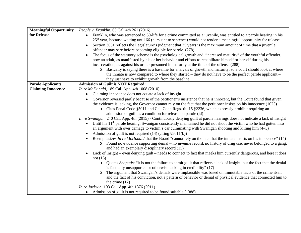| <b>Meaningful Opportunity</b> | People v. Franklin, 63 Cal. 4th 261 (2016)                                                                                                                              |
|-------------------------------|-------------------------------------------------------------------------------------------------------------------------------------------------------------------------|
| for Release                   | Franklin, who was sentenced to 50-life for a crime committed as a juvenile, was entitled to a parole hearing in his                                                     |
|                               | 25 <sup>th</sup> year, because waiting until 66 (pursuant to sentence) would not render a meaningful opportunity for release                                            |
|                               | Section 3051 reflects the Legislature's judgment that 25 years is the maximum amount of time that a juvenile                                                            |
|                               | offender may sere before becoming eligible for parole. (278)                                                                                                            |
|                               | The focus of the statutory scheme is the psychological growth and "increased maturity" of the youthful offender,                                                        |
|                               | now an adult, as manifested by his or her behavior and efforts to rehabilitate himself or herself during his                                                            |
|                               | incarceration, as against his or her presumed immaturity at the time of the offense (288)                                                                               |
|                               | Basically is saying there is a baseline for analysis of growth and maturity, so a court should look at where<br>$\circ$                                                 |
|                               | the inmate is now compared to where they started – they do not have to be the perfect parole applicant –                                                                |
|                               | they just have to exhibit growth from the baseline                                                                                                                      |
| <b>Parole Applicants</b>      | <b>Admission of Guilt is NOT Required:</b>                                                                                                                              |
| <b>Claiming Innocence</b>     | In re McDonald, 189 Cal. App. 4th 1008 (2010)                                                                                                                           |
|                               | Claiming innocence does not equate a lack of insight                                                                                                                    |
|                               | Governor reversed partly because of the petitioner's insistence that he is innocent, but the Court found that given                                                     |
|                               | the evidence is lacking, the Governor cannot rely on the fact that the petitioner insists on his innocence (1023)                                                       |
|                               | o Cites Penal Code §5011 and Cal. Code Regs. tit. 15 §2236, which expressly prohibit requiring an                                                                       |
|                               | admission of guilt as a condition for release on parole (id)                                                                                                            |
|                               | In re Swanigan, 240 Cal. App. 4th (2015) - Continuously denying guilt at parole hearings does not indicate a lack of insight                                            |
|                               | Until his 11 <sup>th</sup> parole hearing, Swanigan consistently maintained he did not shoot the victim who he had gotten into                                          |
|                               | an argument with over damage to victim's car culminating with Swanigan shooting and killing him (4–5)                                                                   |
|                               | Admission of guilt is not required $(14)$ (citing §5011(b))                                                                                                             |
|                               | Reemphasizes In re McDonald that the Board "cannot rely on the fact that the inmate insists on his innocence" (14)                                                      |
|                               | Found no evidence supporting denial – no juvenile record, no history of drug use, never belonged to a gang,<br>$\circ$<br>and had an exemplary disciplinary record (15) |
|                               | Lack of insight – even denying guilt – needs to connect to fact that maeks him currently dangerous, and here it does                                                    |
|                               | not $(16)$                                                                                                                                                              |
|                               | Quotes Shaputis: "it is not the failure to admit guilt that reflects a lack of insight, but the fact that the denial<br>$\circ$                                         |
|                               | is factually unsupported or otherwise lacking in credibility" (17)                                                                                                      |
|                               | The argument that Swanigan's denials were implausible was based on immutable facts of the crime itself<br>$\circ$                                                       |
|                               | and the fact of his conviction, not a pattern of behavior or denial of physical evidence that connected him to                                                          |
|                               | the crime $(17)$                                                                                                                                                        |
|                               | <i>In re Jackson</i> , 193 Cal. App. 4th 1376 (2011)                                                                                                                    |
|                               | • Admission of guilt is not required to be found suitable (1388)                                                                                                        |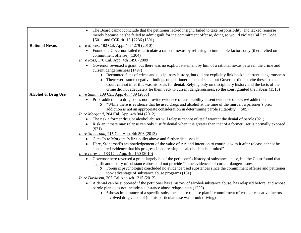|                       | The Board cannot conclude that the petitioner lacked insight, failed to take responsibility, and lacked remorse<br>$\bullet$<br>merely because he/she failed to admit guilt for the commitment offense, doing so would violate Cal Pen Code<br>§5011 and CCR tit. 15 §2236 (1391)                                                                                                                                                                                       |
|-----------------------|-------------------------------------------------------------------------------------------------------------------------------------------------------------------------------------------------------------------------------------------------------------------------------------------------------------------------------------------------------------------------------------------------------------------------------------------------------------------------|
| <b>Rational Nexus</b> | <i>In re Moses</i> , 182 Cal. App. 4th 1279 (2010)<br>Found the Governor failed to articulate a rational nexus by referring to immutable factors only (there relied on<br>$\bullet$<br>commitment offense) (1304)<br><i>In re Ross</i> , 170 Cal. App. 4th 1490 (2009)                                                                                                                                                                                                  |
|                       | Governor reversed a grant, but there was no explicit statement by him of a rational nexus between the crime and<br>$\bullet$<br>current dangerousness (1497)                                                                                                                                                                                                                                                                                                            |
|                       | Recounted facts of crime and disciplinary history, but did not explicitly link back to current dangerousness<br>$\circ$<br>There were some negative findings on petitioner's mental state, but Governor did not cite these, so the<br>$\circ$<br>Court cannot infer this was his basis for denial. Relying only on disciplinary history and the facts of the<br>crime did not adequately tie them back to current dangerousness, so the court granted the habeas (1513) |
| Alcohol & Drug Use    | In re Smith, 109 Cal. App. 4th 489 (2003)                                                                                                                                                                                                                                                                                                                                                                                                                               |
|                       | • Prior addiction to drugs does not provide evidence of unsuitability absent evidence of <i>current</i> addiction<br>o "While there is evidence that he used drugs and alcohol at the time of the murder, a prisoner's prior<br>addiction is not an appropriate consideration in determining parole suitability." (505)<br><i>In re Morganti</i> , 204 Cal. App. 4th 904 (2012)                                                                                         |
|                       | The risk a former drug or alcohol abuser will relapse cannot of itself warrant the denial of parole (921)<br>$\bullet$                                                                                                                                                                                                                                                                                                                                                  |
|                       | Risk an inmate may relapse can only justify denial when it is greater than that of a former user is normally exposed<br>(921)                                                                                                                                                                                                                                                                                                                                           |
|                       | In re Stoneroad, 215 Cal. App. 4th 596 (2013)                                                                                                                                                                                                                                                                                                                                                                                                                           |
|                       | Cites In re Morganti's first bullet above and further discusses it<br>$\bullet$                                                                                                                                                                                                                                                                                                                                                                                         |
|                       | Here, Stoneroad's acknowledgement of the value of AA and intention to continue with it after release cannot be<br>considered evidence that his progress in addressing his alcoholism is "limited"                                                                                                                                                                                                                                                                       |
|                       | <i>In re Loresch</i> , 183 Cal. App. 4th 150 (2010)<br>Governor here reversed a grant largely bc of the petitioner's history of substance abuse, but the Court found that<br>$\bullet$<br>significant history of substance abuse did not provide "some evidence" of current dangerousness<br>o Forensic psychologist concluded no evidence used substances since the commitment offense and petitioner<br>took advantage of substance abuse programs (161)              |
|                       | <i>In re Davidson</i> , 207 Cal App 4th 1215 (2012)<br>A denial can be supported if the petitioner has a history of alcohol/substance abuse, has relapsed before, and whose<br>$\bullet$<br>parole plan does not include a substance abuse relapse plan (1223)                                                                                                                                                                                                          |
|                       | *shows importance of a specific substance abuse relapse plan if commitment offense or causative factors<br>$\circ$<br>involved drugs/alcohol (in this particular case was drunk driving)                                                                                                                                                                                                                                                                                |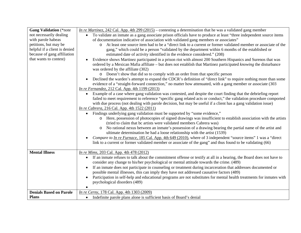| <b>Gang Validation</b> (*note  | In re Martinez, 242 Cal. App. 4th 299 (2015) – contesting a determination that he was a validated gang member                      |
|--------------------------------|------------------------------------------------------------------------------------------------------------------------------------|
| not necessarily dealing        | To validate an inmate as a gang associate prison officials have to produce at least "three independent source items<br>$\bullet$   |
| with parole habeas             | of documentation indicative of association with validated gang members or associates"                                              |
| petitions, but may be          | At least one source item had to be a "direct link to a current or former validated member or associate of the<br>$\circ$           |
| helpful if a client is denied  | gang," which could be a person "validated by the department within 6 months of the established or                                  |
| because of gang affiliation    | estimated date of activity identified in the evidence considered." (208)                                                           |
| that wants to contest)         | Evidence shows Martinez participated in a prison riot with almost 200 Southern Hispanics and Surenos that was                      |
|                                | ordered by a Mexican Mafia affiliate – but does not establish that Martinez participated knowing the disturbance                   |
|                                | was ordered by the affiliate (302)                                                                                                 |
|                                | o Doesn't show that did so to comply with an order from that specific person                                                       |
|                                | Declined the warden's attempt to expand the CDCR's definition of "direct link" to require nothing more than some                   |
|                                | evidence of a "straight-forward connection," no matter how attenuated, with a gang member or associate (303)                       |
|                                | <i>In re Fernandez, 212 Cal. App. 4th 1199 (2013)</i>                                                                              |
|                                | Example of a case where gang validation was contested, and despite the court finding that the debriefing report                    |
|                                | failed to meet requirement to reference "specific gang related acts or conduct," the validation procedure comported                |
|                                | with due process (not dealing with parole decision, but may be useful if a client has a gang validation issue)                     |
|                                | <i>In re Cabrera</i> , 216 Cal. App. 4th 1522 (2011)                                                                               |
|                                | Findings underlying gang validation must be supported by "some evidence,"                                                          |
|                                | Here, possession of photocopies of signed drawings was insufficient to establish association with the artists<br>$\circ$           |
|                                | (tried to claim that bc artists were validated members Cabrera was)                                                                |
|                                | No rational nexus between an inmate's possession of a drawing bearing the partial name of the artist and<br>$\circ$                |
|                                | ultimate determination he had a loose relationship with the artist (1539)                                                          |
|                                | Compare to In re Furnace, 185 Cal. App. 4th 649 (2010), where of 3 independent "source items" 1 was a "direct                      |
|                                | link to a current or former validated member or associate of the gang" and thus found to be validating (66)                        |
|                                |                                                                                                                                    |
| <b>Mental Illness</b>          | <i>In re Mims</i> , 203 Cal. App. 4th 478 (2012)                                                                                   |
|                                | If an inmate refuses to talk about the commitment offense or testify at all in a hearing, the Board does not have to<br>$\bullet$  |
|                                | consider any change to his/her psychological or mental attitude towards the crime. (489)                                           |
|                                | If an inmate does not participate in counseling or treatment during incarceration that addresses documented or                     |
|                                | possible mental illnesses, this can imply they have not addressed causative factors (489)                                          |
|                                | Participation in self-help and educational programs are not substitutes for mental health treatments for inmates with<br>$\bullet$ |
|                                | psychological disorders (489)                                                                                                      |
|                                |                                                                                                                                    |
| <b>Denials Based on Parole</b> | <i>In re Cerny</i> , 178 Cal. App. 4th 1303 (2009)                                                                                 |
| <b>Plans</b>                   | Indefinite parole plans alone is sufficient basis of Board's denial<br>$\bullet$                                                   |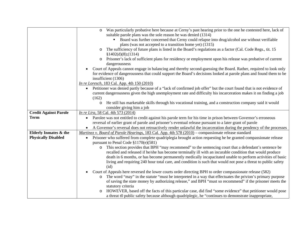| Was particularly probative here because at Cerny's past hearing prior to the one he contested here, lack of<br>$\circ$                                    |  |
|-----------------------------------------------------------------------------------------------------------------------------------------------------------|--|
| suitable parole plans was the sole reason he was denied (1314)                                                                                            |  |
| Board was further concerned that Cerny could relapse into drug/alcohol use without verifiable                                                             |  |
| plans (was not accepted to a transition home yet) (1315)                                                                                                  |  |
| The sufficiency of future plans is listed in the Board's regulations as a factor (Cal. Code Regs., tit. 15<br>$\circ$<br>\$1402(d)(8); (1314)             |  |
| o Prisoner's lack of sufficient plans for residency or employment upon his release was probative of current                                               |  |
| dangerousness                                                                                                                                             |  |
| Court of Appeals cannot engage in balancing and thereby second-guessing the Board. Rather, required to look only                                          |  |
| for evidence of dangerousness that could support the Board's decisions looked at parole plans and found them to be<br>insufficient (1306)                 |  |
| <i>In re Loresch</i> , 183 Cal. App. 4th 150 (2010)                                                                                                       |  |
| • Petitioner was denied partly because of a "lack of confirmed job offer" but the court found that is not evidence of                                     |  |
| current dangerousness given the high unemployment rate and difficulty his incarceration makes it on finding a job                                         |  |
| (162)                                                                                                                                                     |  |
| He still has marketable skills through his vocational training, and a construction company said it would<br>$\circ$                                       |  |
| consider giving him a job                                                                                                                                 |  |
| <i>In re Lira</i> , 58 Cal. 4th 573 (2014)<br><b>Credit Against Parole</b>                                                                                |  |
| <b>Term</b><br>Parolee was not entitled to credit against his parole term for his time in prison between Governor's erroneous<br>$\bullet$                |  |
| reversal of earlier grant of parole and prisoner's eventual release pursuant to a later grant of parole                                                   |  |
| • A Governor's reversal does not retroactively render unlawful the incarceration during the pendency of the processes                                     |  |
| <b>Elderly Inmates &amp; the</b><br>Martinez v. Board of Parole Hearings, 183 Cal. App. 4th 578 (2010) – compassionate release standard                   |  |
| <b>Physically Disabled</b><br>Prisoner who suffered from complete quadriplegia brought action requesting he be granted compassionate release<br>$\bullet$ |  |
| pursuant to Penal Code §1170(e)(581)                                                                                                                      |  |
| This section provides that BPH "may recommend" to the sentencing court that a defendant's sentence be<br>$\circ$                                          |  |
| recalled and released if he/she has become terminally ill with an incurable condition that would produce                                                  |  |
| death in 6 months, or has become permanently medically incapacitated unable to perform activities of basic                                                |  |
| living and requiring 240 hour total care, and condition is such that would not pose a threat to public safety                                             |  |
| (id)                                                                                                                                                      |  |
| Court of Appeals here reversed the lower courts order directing BPH to order compassionate release (582)                                                  |  |
| The word "may" in the statute "must be interpreted in a way that effectuates the privion's primary purpose<br>$\circ$                                     |  |
| of saving the state money by authorizing release," and BPH "must so recommend" if the prisoner meets the<br>statutory criteria                            |  |
| HOWEVER, based off the facts of this particular case, did find "some evidence" that petitioner would pose                                                 |  |
| $\circ$                                                                                                                                                   |  |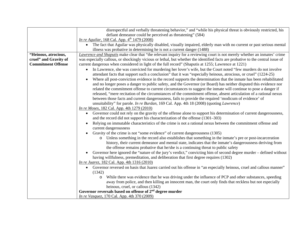|                           | disrespectful and verbally threatening behavior," and "while his physical threat is obviously restricted, his                                                                                                    |
|---------------------------|------------------------------------------------------------------------------------------------------------------------------------------------------------------------------------------------------------------|
|                           | defiant demeanor could be perceived as threatening" (584)                                                                                                                                                        |
|                           | <i>In re Aguilar</i> , 168 Cal. App. 4 <sup>th</sup> 1479 (2008)                                                                                                                                                 |
|                           | The fact that Aguilar was physically disabled, visually impaired, elderly man with no current or past serious mental<br>$\bullet$                                                                                |
|                           | illness was probative in determining he is not a current danger (1488)                                                                                                                                           |
| "Heinous, atrocious,      | Lawrence and Shaputis make clear that "the relevant inquiry for a reviewing court is not merely whether an inmates' crime                                                                                        |
| cruel" and Gravity of     | was especially callous, or shockingly vicious or lethal, but whether the identified facts are probative to the central issue of                                                                                  |
| <b>Commitment Offense</b> | current dangerous when considered in light of the full record" (Shaputis at 1255; Lawrence at 1221)                                                                                                              |
|                           | In Lawrence, she was convicted for murdering her lover's wife, but the Court noted "few murders do not involve                                                                                                   |
|                           | attendant facts that support such a conclusion" that it was "especially heinous, atrocious, or cruel" (1224-25)                                                                                                  |
|                           | Where all post-conviction evidence in the record supports the determination that the inmate has been rehabilitated                                                                                               |
|                           | and no longer poses a danger to public safety, and the Governor (or Board) has neither disputed this evidence nor                                                                                                |
|                           | related the commitment offense to current circumstances to suggest the inmate will continue to pose a danger if                                                                                                  |
|                           | released, "mere recitation of the circumstances of the commitment offense, absent articulation of a rational nexus                                                                                               |
|                           | between those facts and current dangerousness, fails to provide the required 'modicum of evidence' of                                                                                                            |
|                           | unsuitability" for parole. In re Burdan, 169 Cal. App. 4th 18 (2008) (quoting Lawrence)                                                                                                                          |
|                           | <i>In re Moses</i> , 182 Cal. App. 4th 1279 (2010)                                                                                                                                                               |
|                           | Governor could not rely on the gravity of the offense alone to support his determination of current dangerousness,<br>$\bullet$<br>and the record did not support his characterization of the offense (1301–303) |
|                           | Relying on immutable characteristics of the crime is not a rational nexus between the commitment offense and                                                                                                     |
|                           | current dangerousness                                                                                                                                                                                            |
|                           | Gravity of the crime is not "some evidence" of current dangerousness (1305)                                                                                                                                      |
|                           | Unless something in the record also establishes that something in the inmate's pre or post-incarceration<br>$\circ$                                                                                              |
|                           | history, their current demeanor and mental state, indicates that the inmate's dangerousness deriving from                                                                                                        |
|                           | the offense remains probative that he/she is a continuing threat to public safety                                                                                                                                |
|                           | Governor here ignored the "nature of the jury's verdict," convicting him of second degree murder – defined without                                                                                               |
|                           | having willfulness, premeditation, and deliberation that first degree requires (1302)                                                                                                                            |
|                           | <i>In re Juarez</i> , 182 Cal. App. 4th 1316 (2010)                                                                                                                                                              |
|                           | Governor reversed on basis that Juarez carried out his offense in "an especially heinous, cruel and callous manner"                                                                                              |
|                           | (1342)                                                                                                                                                                                                           |
|                           | While there was evidence that he was driving under the influence of PCP and other substances, speeding<br>O                                                                                                      |
|                           | away from police, and then killing an innocent man, the court only finds that reckless but not especially                                                                                                        |
|                           | heinous, cruel, or callous (1342)                                                                                                                                                                                |
|                           | Governor reversals based on offense of $2nd$ degree murder                                                                                                                                                       |
|                           | In re Vasquez, 170 Cal. App. 4th 370 (2009)                                                                                                                                                                      |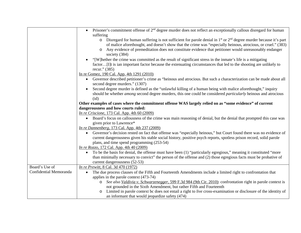|                        | Prisoner's commitment offense of $2nd$ degree murder does not reflect an exceptionally callous disregard for human<br>$\bullet$                 |
|------------------------|-------------------------------------------------------------------------------------------------------------------------------------------------|
|                        | suffering                                                                                                                                       |
|                        | $\circ$ Disregard for human suffering is not sufficient for parole denial in 1 <sup>st</sup> or 2 <sup>nd</sup> degree murder because it's part |
|                        | of malice aforethought, and doesn't show that the crime was "especially heinous, atrocious, or cruel." (383)                                    |
|                        | Any evidence of premeditation does not constitute evidence that petitioner would unreasonably endanger<br>$\circ$                               |
|                        | society (384)                                                                                                                                   |
|                        | "[W]hether the crime was committed as the result of significant stress in the inmate's life is a mitigating                                     |
|                        | factor[I]t is ian important factor because the extenuating circumstances that led to the shooting are unlikely to                               |
|                        | recur." (385)                                                                                                                                   |
|                        | In re Gomez, 190 Cal. App. 4th 1291 (2010)                                                                                                      |
|                        | • Governor described petitioner's crime as "heinous and atrocious. But such a characterization can be made about all                            |
|                        | second degree murders." (1307)                                                                                                                  |
|                        | Second degree murder is defined as the "unlawful killing of a human being with malice aforethought," inquiry                                    |
|                        | should be whether <i>among</i> second degree murders, this one could be considered <i>particularly</i> heinous and atrocious                    |
|                        | (id)                                                                                                                                            |
|                        | Other examples of cases where the commitment offense WAS largely relied on as "some evidence" of current                                        |
|                        | dangerousness and how courts ruled:                                                                                                             |
|                        | <i>In re Criscione</i> , 173 Cal. App. 4th 60 (2009)                                                                                            |
|                        | • Board's focus on callousness of the crime was main reasoning of denial, but the denial that prompted this case was                            |
|                        | given prior to Lawrence*                                                                                                                        |
|                        | <i>In re Dannenberg</i> , 173 Cal. App. 4th 237 (2009)                                                                                          |
|                        | Governor's decision rested on fact that offense was "especially heinous," but Court found there was no evidence of<br>$\bullet$                 |
|                        | current dangerousness given his stable social history, positive psych reports, spotless prison record, solid parole                             |
|                        | plans, and time spend programming (253-54)                                                                                                      |
|                        | <i>In re Rozzo</i> , 172 Cal. App. 4th 40 (2009)                                                                                                |
|                        | To be the basis for denial, the offense must have been (1) "particularly egregious," meaning it constituted "more<br>$\bullet$                  |
|                        | than minimally necessary to convict" the person of the offense and (2) those egregious facts must be probative of                               |
|                        | current dangerousness (52-53)                                                                                                                   |
| Board's Use of         | In re Prewitt, 8 Cal. 3d 470 (1972)                                                                                                             |
| Confidential Memoranda | The due process clauses of the Fifth and Fourteenth Amendments include a limited right to confrontation that<br>$\bullet$                       |
|                        | applies in the parole context $(473-74)$                                                                                                        |
|                        | See also Valdivia v. Schwarzenegger, 599 F.3d 984 (9th Cir. 2010): confrontation right in parole context is<br>$\circ$                          |
|                        | not grounded in the Sixth Amendment, but rather Fifth and Fourteenth                                                                            |
|                        | o Limited in parole context bc does not entail a right to live cross-examination or disclosure of the identity of                               |
|                        | an informant that would jeopardize safety (474)                                                                                                 |